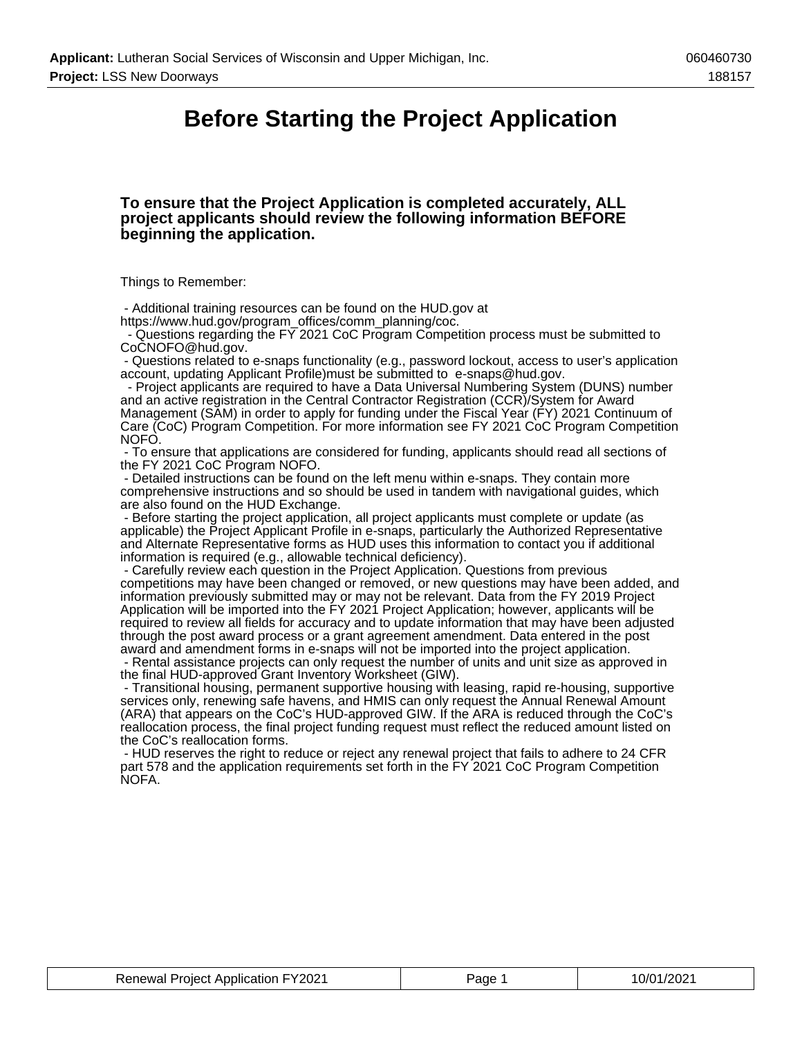### **Before Starting the Project Application**

#### **To ensure that the Project Application is completed accurately, ALL project applicants should review the following information BEFORE beginning the application.**

Things to Remember:

 - Additional training resources can be found on the HUD.gov at https://www.hud.gov/program\_offices/comm\_planning/coc.

 - Questions regarding the FY 2021 CoC Program Competition process must be submitted to CoCNOFO@hud.gov.

 - Questions related to e-snaps functionality (e.g., password lockout, access to user's application account, updating Applicant Profile)must be submitted to e-snaps@hud.gov.

 - Project applicants are required to have a Data Universal Numbering System (DUNS) number and an active registration in the Central Contractor Registration (CCR)/System for Award Management (SAM) in order to apply for funding under the Fiscal Year (FY) 2021 Continuum of Care (CoC) Program Competition. For more information see FY 2021 CoC Program Competition NOFO.

 - To ensure that applications are considered for funding, applicants should read all sections of the FY 2021 CoC Program NOFO.

 - Detailed instructions can be found on the left menu within e-snaps. They contain more comprehensive instructions and so should be used in tandem with navigational guides, which are also found on the HUD Exchange.

 - Before starting the project application, all project applicants must complete or update (as applicable) the Project Applicant Profile in e-snaps, particularly the Authorized Representative and Alternate Representative forms as HUD uses this information to contact you if additional information is required (e.g., allowable technical deficiency).

 - Carefully review each question in the Project Application. Questions from previous competitions may have been changed or removed, or new questions may have been added, and information previously submitted may or may not be relevant. Data from the FY 2019 Project Application will be imported into the FY 2021 Project Application; however, applicants will be required to review all fields for accuracy and to update information that may have been adjusted through the post award process or a grant agreement amendment. Data entered in the post award and amendment forms in e-snaps will not be imported into the project application.

 - Rental assistance projects can only request the number of units and unit size as approved in the final HUD-approved Grant Inventory Worksheet (GIW).

 - Transitional housing, permanent supportive housing with leasing, rapid re-housing, supportive services only, renewing safe havens, and HMIS can only request the Annual Renewal Amount (ARA) that appears on the CoC's HUD-approved GIW. If the ARA is reduced through the CoC's reallocation process, the final project funding request must reflect the reduced amount listed on the CoC's reallocation forms.

 - HUD reserves the right to reduce or reject any renewal project that fails to adhere to 24 CFR part 578 and the application requirements set forth in the FY 2021 CoC Program Competition NOFA.

| <b>Renewal Project Application FY2021</b> | Page | 10/01/2021 |
|-------------------------------------------|------|------------|
|-------------------------------------------|------|------------|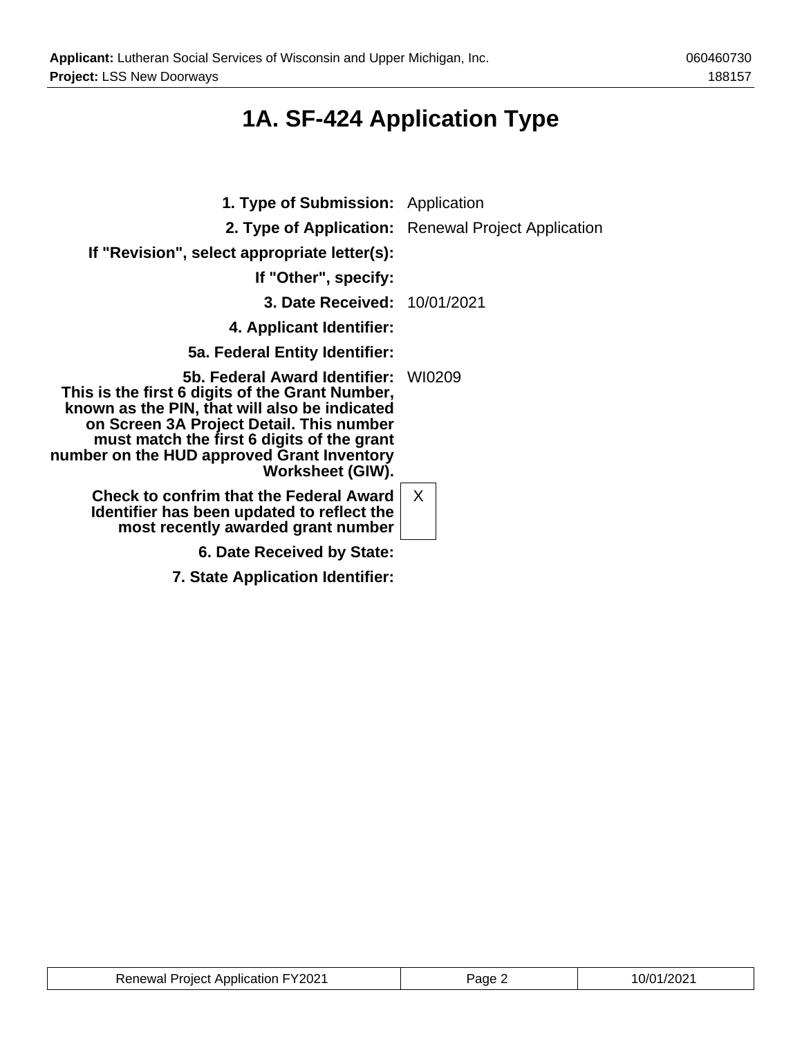# **1A. SF-424 Application Type**

| <b>1. Type of Submission:</b> Application                                                                                                                                                                                                                                                     |                                                     |
|-----------------------------------------------------------------------------------------------------------------------------------------------------------------------------------------------------------------------------------------------------------------------------------------------|-----------------------------------------------------|
|                                                                                                                                                                                                                                                                                               | 2. Type of Application: Renewal Project Application |
| If "Revision", select appropriate letter(s):                                                                                                                                                                                                                                                  |                                                     |
| If "Other", specify:                                                                                                                                                                                                                                                                          |                                                     |
| <b>3. Date Received: 10/01/2021</b>                                                                                                                                                                                                                                                           |                                                     |
| 4. Applicant Identifier:                                                                                                                                                                                                                                                                      |                                                     |
| 5a. Federal Entity Identifier:                                                                                                                                                                                                                                                                |                                                     |
| 5b. Federal Award Identifier:<br>This is the first 6 digits of the Grant Number,<br>known as the PIN, that will also be indicated<br>on Screen 3A Project Detail. This number<br>must match the first 6 digits of the grant<br>number on the HUD approved Grant Inventory<br>Worksheet (GIW). | WI0209                                              |
| <b>Check to confrim that the Federal Award</b><br>Identifier has been updated to reflect the<br>most recently awarded grant number                                                                                                                                                            | $\mathsf{X}$                                        |
| 6. Date Received by State:                                                                                                                                                                                                                                                                    |                                                     |
| 7. State Application Identifier:                                                                                                                                                                                                                                                              |                                                     |

| <b>Renewal Project Application FY2021</b> | Page 2 | 10/01/2021 |
|-------------------------------------------|--------|------------|
|-------------------------------------------|--------|------------|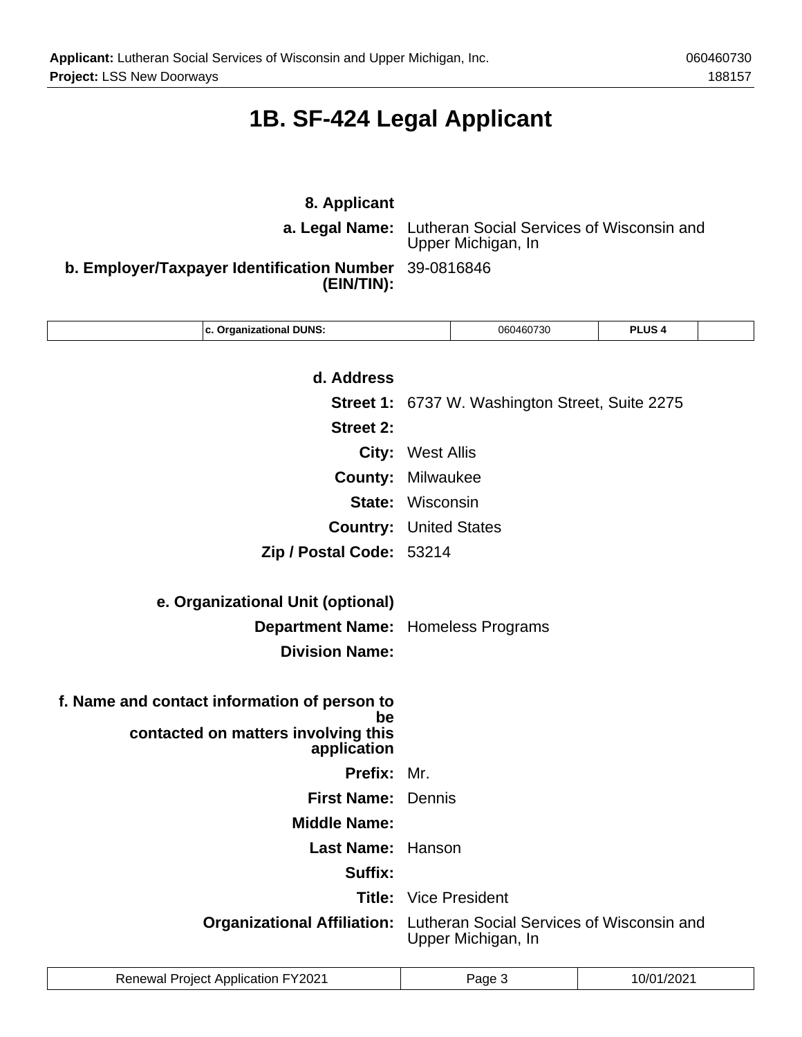# **1B. SF-424 Legal Applicant**

| 8. Applicant<br>b. Employer/Taxpayer Identification Number 39-0816846<br>(EIN/TIN): | a. Legal Name: Lutheran Social Services of Wisconsin and<br>Upper Michigan, In |  |
|-------------------------------------------------------------------------------------|--------------------------------------------------------------------------------|--|
| c. Organizational DUNS:                                                             | PLUS <sub>4</sub><br>060460730                                                 |  |
| d. Address<br><b>Street 2:</b>                                                      | <b>Street 1:</b> 6737 W. Washington Street, Suite 2275                         |  |
|                                                                                     | <b>City: West Allis</b>                                                        |  |
|                                                                                     | <b>County: Milwaukee</b>                                                       |  |
|                                                                                     | <b>State: Wisconsin</b>                                                        |  |
|                                                                                     | <b>Country: United States</b>                                                  |  |
| Zip / Postal Code: 53214                                                            |                                                                                |  |
| e. Organizational Unit (optional)                                                   |                                                                                |  |

| <b>Department Name:</b> Homeless Programs |
|-------------------------------------------|
|                                           |
|                                           |
|                                           |

**Middle Name:**

**Title:** Vice President **Organizational Affiliation:** Lutheran Social Services of Wisconsin and Upper Michigan, In

**Prefix:** Mr.

**First Name:** Dennis

**Last Name:** Hanson

**Suffix:**

| <b>Renewal Project Application FY2021</b> | Page | 10/01/2021 |
|-------------------------------------------|------|------------|
|-------------------------------------------|------|------------|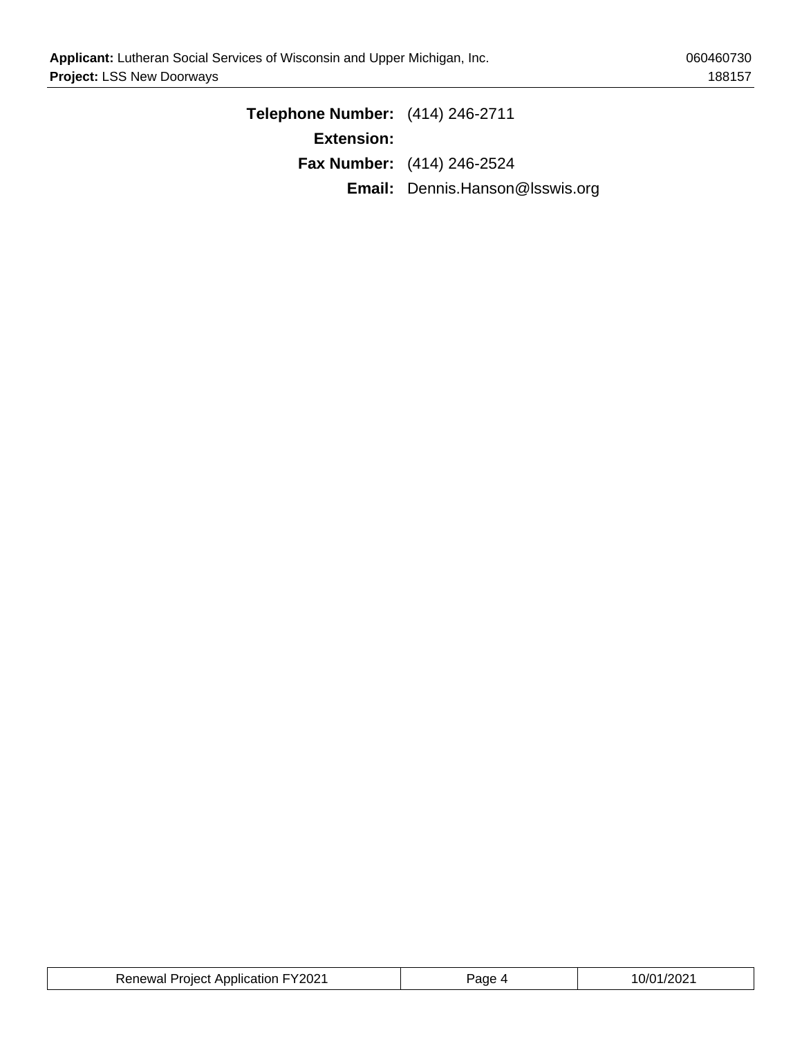| <b>Telephone Number:</b> (414) 246-2711 |                                        |
|-----------------------------------------|----------------------------------------|
| <b>Extension:</b>                       |                                        |
|                                         | <b>Fax Number:</b> (414) 246-2524      |
|                                         | <b>Email:</b> Dennis.Hanson@Isswis.org |

| <b>Renewal Project Application FY2021</b> | Page | 10/01/2021 |
|-------------------------------------------|------|------------|
|-------------------------------------------|------|------------|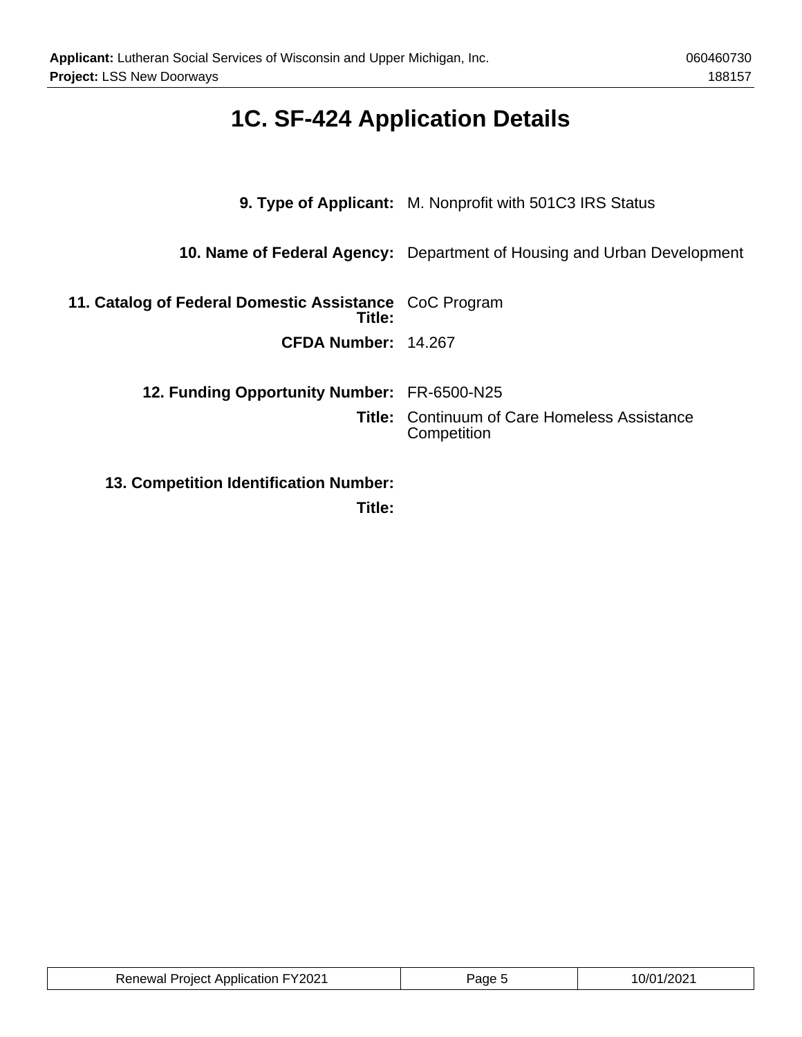٦

# **1C. SF-424 Application Details**

|                                                                  | 9. Type of Applicant: M. Nonprofit with 501C3 IRS Status                |
|------------------------------------------------------------------|-------------------------------------------------------------------------|
|                                                                  | 10. Name of Federal Agency: Department of Housing and Urban Development |
| 11. Catalog of Federal Domestic Assistance CoC Program<br>Title: |                                                                         |
| CFDA Number: 14.267                                              |                                                                         |
| 12. Funding Opportunity Number: FR-6500-N25                      |                                                                         |
|                                                                  | <b>Title:</b> Continuum of Care Homeless Assistance<br>Competition      |
| <b>13. Competition Identification Number:</b>                    |                                                                         |

**Title:**

| Renewal Project Application FY2021 | aae ? | 10/01/2021 |
|------------------------------------|-------|------------|
|                                    |       |            |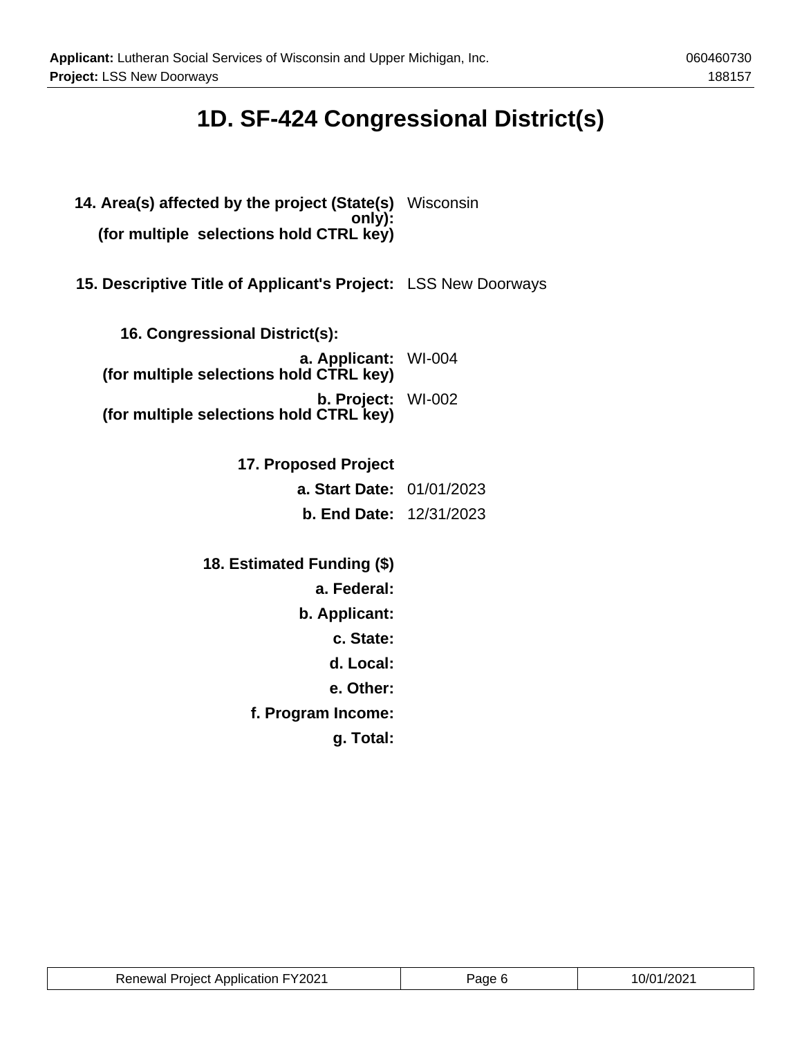# **1D. SF-424 Congressional District(s)**

**14. Area(s) affected by the project (State(s)** Wisconsin **only): (for multiple selections hold CTRL key) 15. Descriptive Title of Applicant's Project:** LSS New Doorways **16. Congressional District(s): a. Applicant:** WI-004 **(for multiple selections hold CTRL key) b. Project: (for multiple selections hold CTRL key)** WI-002 **17. Proposed Project a. Start Date:** 01/01/2023 **b. End Date:** 12/31/2023 **18. Estimated Funding (\$) a. Federal: b. Applicant: c. State: d. Local: e. Other: f. Program Income: g. Total:**

| <b>Renewal Project Application FY2021</b> | Page 6 | 10/01/2021 |
|-------------------------------------------|--------|------------|
|-------------------------------------------|--------|------------|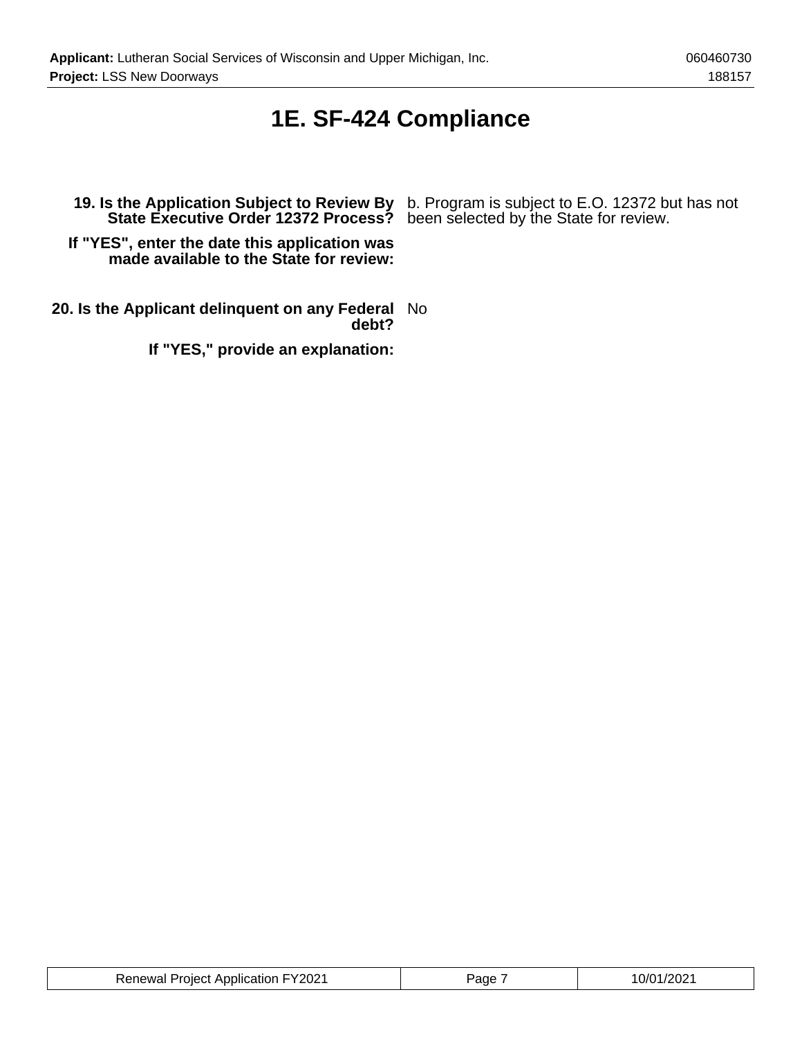### **1E. SF-424 Compliance**

**19. Is the Application Subject to Review By State Executive Order 12372 Process?** b. Program is subject to E.O. 12372 but has not been selected by the State for review.

**If "YES", enter the date this application was made available to the State for review:**

**20. Is the Applicant delinquent on any Federal** No **debt?**

**If "YES," provide an explanation:**

| <b>Renewal Project Application FY2021</b> | Page | 10/01/2021 |
|-------------------------------------------|------|------------|
|-------------------------------------------|------|------------|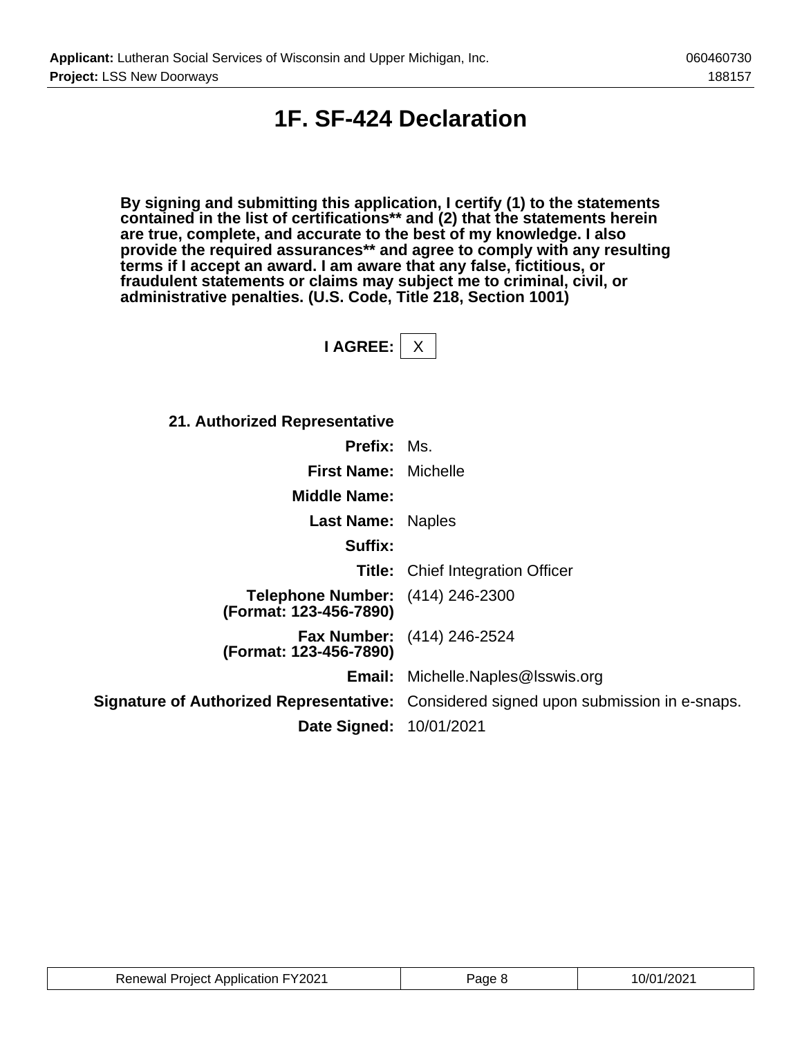### **1F. SF-424 Declaration**

**By signing and submitting this application, I certify (1) to the statements contained in the list of certifications\*\* and (2) that the statements herein are true, complete, and accurate to the best of my knowledge. I also provide the required assurances\*\* and agree to comply with any resulting terms if I accept an award. I am aware that any false, fictitious, or fraudulent statements or claims may subject me to criminal, civil, or administrative penalties. (U.S. Code, Title 218, Section 1001)**

**I AGREE:** X

**21. Authorized Representative**

| <b>Prefix: Ms.</b>                                                |                                                                                       |
|-------------------------------------------------------------------|---------------------------------------------------------------------------------------|
| <b>First Name: Michelle</b>                                       |                                                                                       |
| <b>Middle Name:</b>                                               |                                                                                       |
| <b>Last Name: Naples</b>                                          |                                                                                       |
| Suffix:                                                           |                                                                                       |
|                                                                   | <b>Title:</b> Chief Integration Officer                                               |
| <b>Telephone Number:</b> (414) 246-2300<br>(Format: 123-456-7890) |                                                                                       |
| (Format: 123-456-7890)                                            | <b>Fax Number:</b> (414) 246-2524                                                     |
|                                                                   | <b>Email:</b> Michelle.Naples@Isswis.org                                              |
|                                                                   | Signature of Authorized Representative: Considered signed upon submission in e-snaps. |
| Date Signed: 10/01/2021                                           |                                                                                       |

| <b>Renewal Project Application FY2021</b> | Page P | 10/01/2021 |
|-------------------------------------------|--------|------------|
|-------------------------------------------|--------|------------|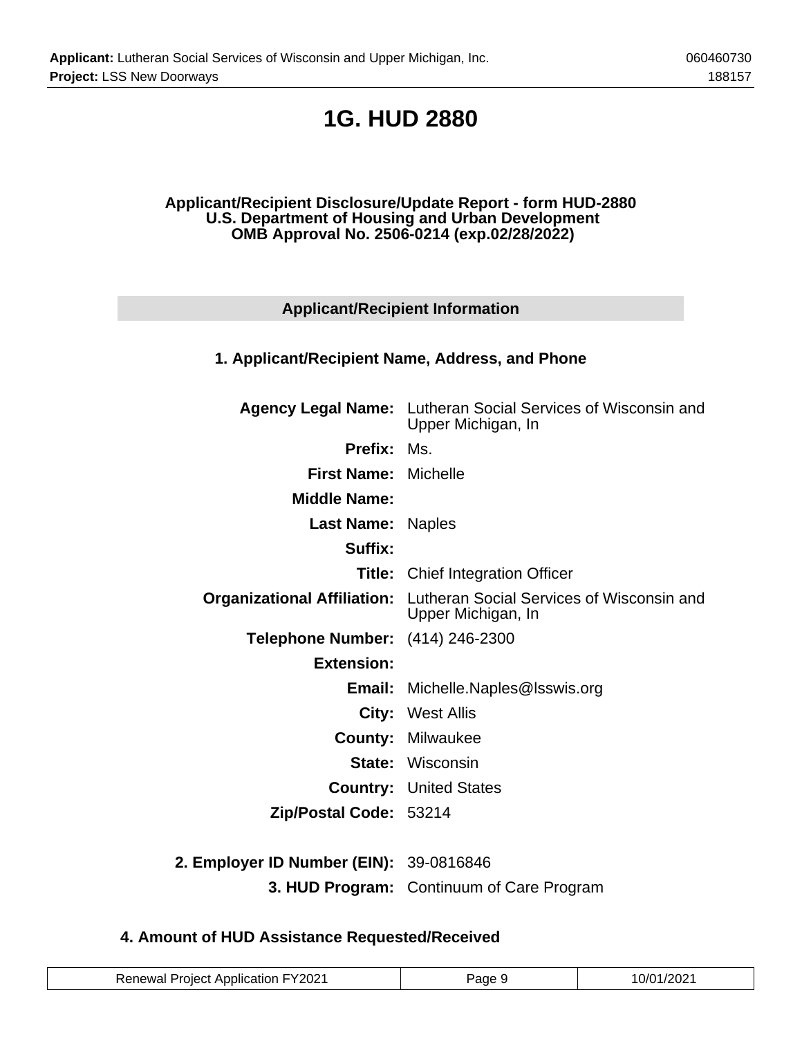# **1G. HUD 2880**

#### **Applicant/Recipient Disclosure/Update Report - form HUD-2880 U.S. Department of Housing and Urban Development OMB Approval No. 2506-0214 (exp.02/28/2022)**

### **Applicant/Recipient Information**

### **1. Applicant/Recipient Name, Address, and Phone**

|                                         | Agency Legal Name: Lutheran Social Services of Wisconsin and<br>Upper Michigan, In          |
|-----------------------------------------|---------------------------------------------------------------------------------------------|
| <b>Prefix: Ms.</b>                      |                                                                                             |
| <b>First Name: Michelle</b>             |                                                                                             |
| <b>Middle Name:</b>                     |                                                                                             |
| <b>Last Name: Naples</b>                |                                                                                             |
| Suffix:                                 |                                                                                             |
|                                         | <b>Title:</b> Chief Integration Officer                                                     |
|                                         | Organizational Affiliation: Lutheran Social Services of Wisconsin and<br>Upper Michigan, In |
| <b>Telephone Number:</b> (414) 246-2300 |                                                                                             |
| <b>Extension:</b>                       |                                                                                             |
|                                         | <b>Email:</b> Michelle.Naples@Isswis.org                                                    |
|                                         | <b>City: West Allis</b>                                                                     |
|                                         | <b>County: Milwaukee</b>                                                                    |
|                                         | <b>State: Wisconsin</b>                                                                     |
|                                         | <b>Country: United States</b>                                                               |
| Zip/Postal Code: 53214                  |                                                                                             |
|                                         |                                                                                             |
| 2. Employer ID Number (EIN): 39-0816846 |                                                                                             |
|                                         |                                                                                             |

**3. HUD Program:** Continuum of Care Program

#### **4. Amount of HUD Assistance Requested/Received**

| <b>Renewal Project Application FY2021</b> | Page 9 | 10/01/2021 |
|-------------------------------------------|--------|------------|
|-------------------------------------------|--------|------------|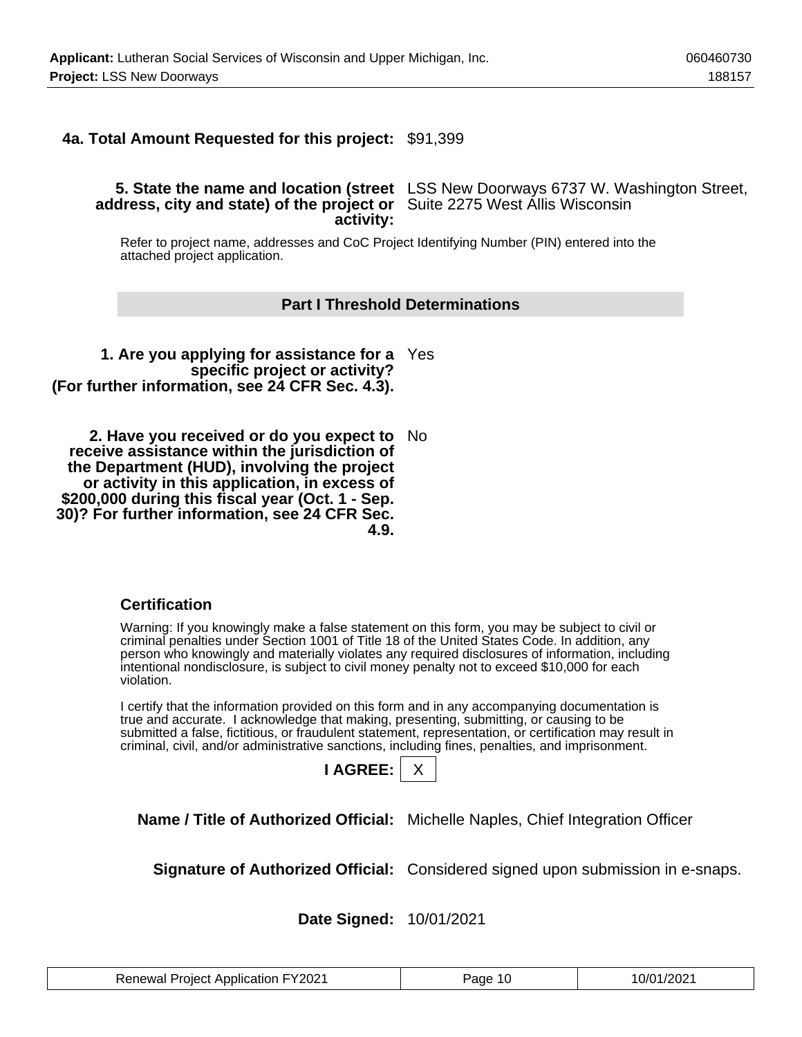#### **4a. Total Amount Requested for this project:** \$91,399

#### **5. State the name and location (street** LSS New Doorways 6737 W. Washington Street, **address, city and state) of the project or** Suite 2275 West Allis Wisconsin **activity:**

Refer to project name, addresses and CoC Project Identifying Number (PIN) entered into the attached project application.

#### **Part I Threshold Determinations**

**1. Are you applying for assistance for a** Yes **specific project or activity? (For further information, see 24 CFR Sec. 4.3).**

**2. Have you received or do you expect to** No **receive assistance within the jurisdiction of the Department (HUD), involving the project or activity in this application, in excess of \$200,000 during this fiscal year (Oct. 1 - Sep. 30)? For further information, see 24 CFR Sec. 4.9.**

#### **Certification**

Warning: If you knowingly make a false statement on this form, you may be subject to civil or criminal penalties under Section 1001 of Title 18 of the United States Code. In addition, any person who knowingly and materially violates any required disclosures of information, including intentional nondisclosure, is subject to civil money penalty not to exceed \$10,000 for each violation.

I certify that the information provided on this form and in any accompanying documentation is true and accurate. I acknowledge that making, presenting, submitting, or causing to be submitted a false, fictitious, or fraudulent statement, representation, or certification may result in criminal, civil, and/or administrative sanctions, including fines, penalties, and imprisonment.

| <b>AGREE:</b> |  |
|---------------|--|
|---------------|--|

**Name / Title of Authorized Official:** Michelle Naples, Chief Integration Officer

**Signature of Authorized Official:** Considered signed upon submission in e-snaps.

**Date Signed:** 10/01/2021

| <b>Renewal Project Application FY2021</b> | <sup>o</sup> age 10 | 10/01/2021 |
|-------------------------------------------|---------------------|------------|
|-------------------------------------------|---------------------|------------|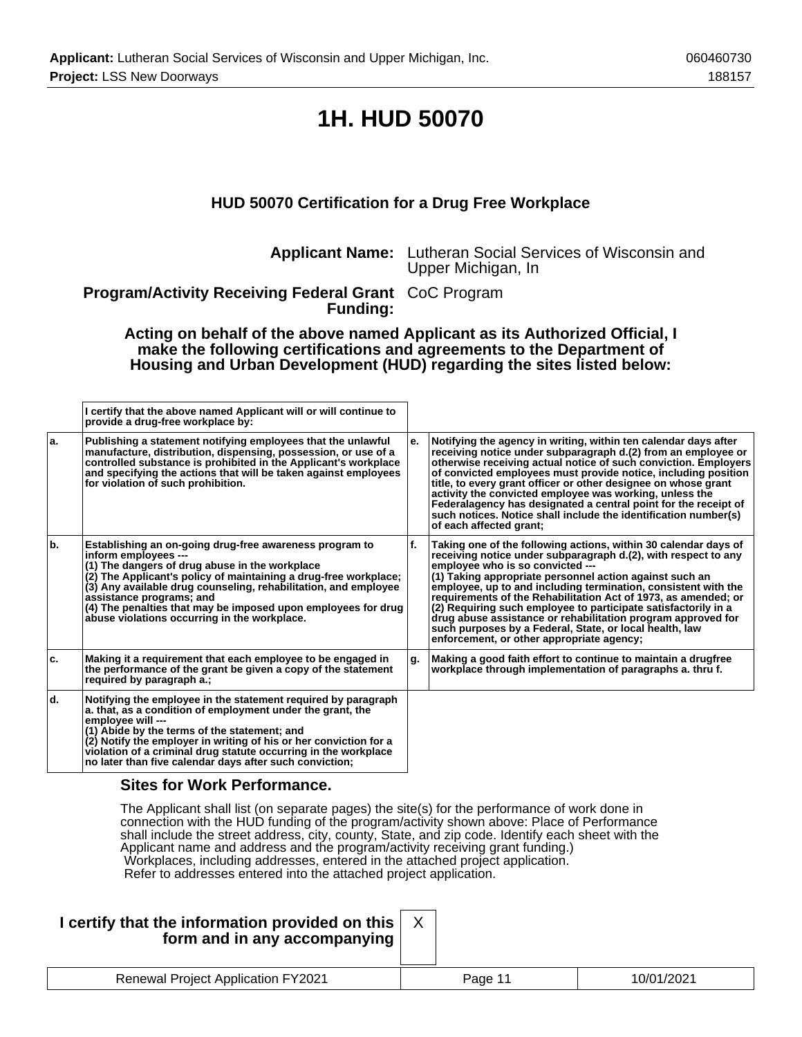### **1H. HUD 50070**

### **HUD 50070 Certification for a Drug Free Workplace**

**Applicant Name:** Lutheran Social Services of Wisconsin and Upper Michigan, In

#### **Program/Activity Receiving Federal Grant** CoC Program **Funding:**

**Acting on behalf of the above named Applicant as its Authorized Official, I make the following certifications and agreements to the Department of Housing and Urban Development (HUD) regarding the sites listed below:**

|     | I certify that the above named Applicant will or will continue to<br>provide a drug-free workplace by:                                                                                                                                                                                                                                                                                                                |    |                                                                                                                                                                                                                                                                                                                                                                                                                                                                                                                                                                                                                |
|-----|-----------------------------------------------------------------------------------------------------------------------------------------------------------------------------------------------------------------------------------------------------------------------------------------------------------------------------------------------------------------------------------------------------------------------|----|----------------------------------------------------------------------------------------------------------------------------------------------------------------------------------------------------------------------------------------------------------------------------------------------------------------------------------------------------------------------------------------------------------------------------------------------------------------------------------------------------------------------------------------------------------------------------------------------------------------|
| ۱a. | Publishing a statement notifying employees that the unlawful<br>manufacture, distribution, dispensing, possession, or use of a<br>controlled substance is prohibited in the Applicant's workplace<br>and specifying the actions that will be taken against employees<br>for violation of such prohibition.                                                                                                            | e. | Notifying the agency in writing, within ten calendar days after<br>receiving notice under subparagraph d.(2) from an employee or<br>otherwise receiving actual notice of such conviction. Employers<br>of convicted employees must provide notice, including position<br>title, to every grant officer or other designee on whose grant<br>activity the convicted employee was working, unless the<br>Federalagency has designated a central point for the receipt of<br>such notices. Notice shall include the identification number(s)<br>of each affected grant;                                            |
| ١b. | Establishing an on-going drug-free awareness program to<br>inform employees ---<br>(1) The dangers of drug abuse in the workplace<br>(2) The Applicant's policy of maintaining a drug-free workplace;<br>(3) Any available drug counseling, rehabilitation, and employee<br>assistance programs; and<br>(4) The penalties that may be imposed upon employees for drug<br>abuse violations occurring in the workplace. | f. | Taking one of the following actions, within 30 calendar days of<br>receiving notice under subparagraph d.(2), with respect to any<br>employee who is so convicted ---<br>(1) Taking appropriate personnel action against such an<br>employee, up to and including termination, consistent with the<br>requirements of the Rehabilitation Act of 1973, as amended; or<br>(2) Requiring such employee to participate satisfactorily in a<br>drug abuse assistance or rehabilitation program approved for<br>such purposes by a Federal, State, or local health, law<br>enforcement, or other appropriate agency; |
| ۱c. | Making it a requirement that each employee to be engaged in<br>the performance of the grant be given a copy of the statement<br>required by paragraph a.;                                                                                                                                                                                                                                                             | g. | Making a good faith effort to continue to maintain a drugfree<br>workplace through implementation of paragraphs a. thru f.                                                                                                                                                                                                                                                                                                                                                                                                                                                                                     |
| ld. | Notifying the employee in the statement required by paragraph<br>a. that, as a condition of employment under the grant, the<br>employee will ---<br>(1) Abide by the terms of the statement; and<br>(2) Notify the employer in writing of his or her conviction for a<br>violation of a criminal drug statute occurring in the workplace<br>no later than five calendar days after such conviction;                   |    |                                                                                                                                                                                                                                                                                                                                                                                                                                                                                                                                                                                                                |

#### **Sites for Work Performance.**

The Applicant shall list (on separate pages) the site(s) for the performance of work done in connection with the HUD funding of the program/activity shown above: Place of Performance shall include the street address, city, county, State, and zip code. Identify each sheet with the Applicant name and address and the program/activity receiving grant funding.) Workplaces, including addresses, entered in the attached project application. Refer to addresses entered into the attached project application.

| I certify that the information provided on this $\mid$ $\times$<br>form and in any accompanying |         |            |
|-------------------------------------------------------------------------------------------------|---------|------------|
| <b>Renewal Project Application FY2021</b>                                                       | Page 11 | 10/01/2021 |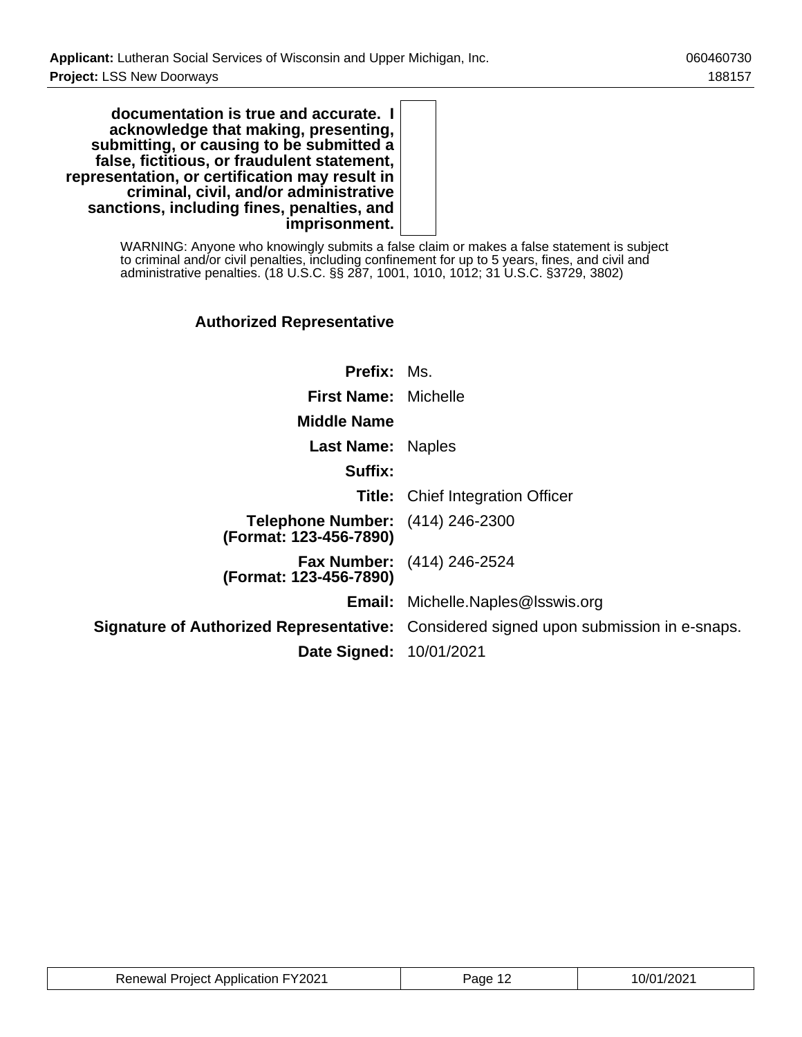**documentation is true and accurate. I acknowledge that making, presenting, submitting, or causing to be submitted a false, fictitious, or fraudulent statement, representation, or certification may result in criminal, civil, and/or administrative sanctions, including fines, penalties, and imprisonment.**

> WARNING: Anyone who knowingly submits a false claim or makes a false statement is subject to criminal and/or civil penalties, including confinement for up to 5 years, fines, and civil and administrative penalties. (18 U.S.C. §§ 287, 1001, 1010, 1012; 31 U.S.C. §3729, 3802)

### **Authorized Representative**

| <b>Prefix: Ms.</b>                                                |                                                                                              |
|-------------------------------------------------------------------|----------------------------------------------------------------------------------------------|
| <b>First Name: Michelle</b>                                       |                                                                                              |
| <b>Middle Name</b>                                                |                                                                                              |
| <b>Last Name: Naples</b>                                          |                                                                                              |
| Suffix:                                                           |                                                                                              |
|                                                                   | <b>Title:</b> Chief Integration Officer                                                      |
| <b>Telephone Number:</b> (414) 246-2300<br>(Format: 123-456-7890) |                                                                                              |
| (Format: 123-456-7890)                                            | <b>Fax Number:</b> (414) 246-2524                                                            |
|                                                                   | <b>Email:</b> Michelle.Naples@Isswis.org                                                     |
|                                                                   | <b>Signature of Authorized Representative:</b> Considered signed upon submission in e-snaps. |
| <b>Date Signed: 10/01/2021</b>                                    |                                                                                              |

| <b>Renewal Project Application FY2021</b> | Page 12 | 10/01/2021 |
|-------------------------------------------|---------|------------|
|-------------------------------------------|---------|------------|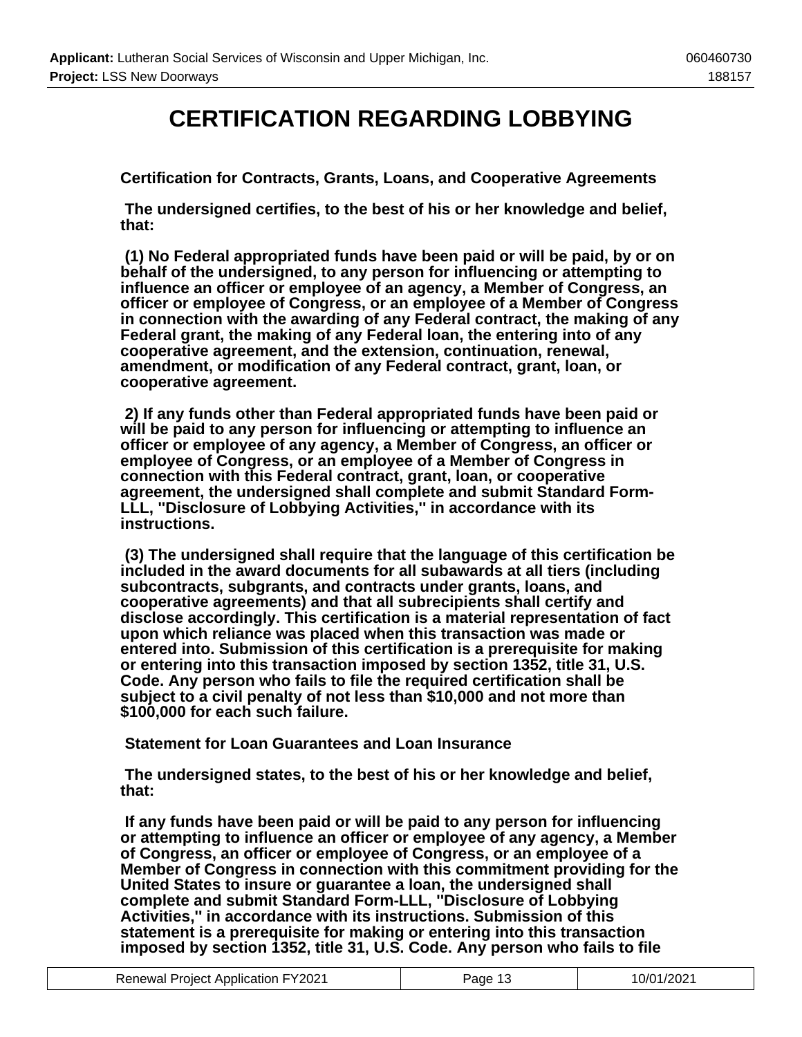### **CERTIFICATION REGARDING LOBBYING**

**Certification for Contracts, Grants, Loans, and Cooperative Agreements**

 **The undersigned certifies, to the best of his or her knowledge and belief, that:**

 **(1) No Federal appropriated funds have been paid or will be paid, by or on behalf of the undersigned, to any person for influencing or attempting to influence an officer or employee of an agency, a Member of Congress, an officer or employee of Congress, or an employee of a Member of Congress in connection with the awarding of any Federal contract, the making of any Federal grant, the making of any Federal loan, the entering into of any cooperative agreement, and the extension, continuation, renewal, amendment, or modification of any Federal contract, grant, loan, or cooperative agreement.**

 **2) If any funds other than Federal appropriated funds have been paid or will be paid to any person for influencing or attempting to influence an officer or employee of any agency, a Member of Congress, an officer or employee of Congress, or an employee of a Member of Congress in connection with this Federal contract, grant, loan, or cooperative agreement, the undersigned shall complete and submit Standard Form-LLL, ''Disclosure of Lobbying Activities,'' in accordance with its instructions.**

 **(3) The undersigned shall require that the language of this certification be included in the award documents for all subawards at all tiers (including subcontracts, subgrants, and contracts under grants, loans, and cooperative agreements) and that all subrecipients shall certify and disclose accordingly. This certification is a material representation of fact upon which reliance was placed when this transaction was made or entered into. Submission of this certification is a prerequisite for making or entering into this transaction imposed by section 1352, title 31, U.S. Code. Any person who fails to file the required certification shall be subject to a civil penalty of not less than \$10,000 and not more than \$100,000 for each such failure.**

 **Statement for Loan Guarantees and Loan Insurance**

 **The undersigned states, to the best of his or her knowledge and belief, that:**

 **If any funds have been paid or will be paid to any person for influencing or attempting to influence an officer or employee of any agency, a Member of Congress, an officer or employee of Congress, or an employee of a Member of Congress in connection with this commitment providing for the United States to insure or guarantee a loan, the undersigned shall complete and submit Standard Form-LLL, ''Disclosure of Lobbying Activities,'' in accordance with its instructions. Submission of this statement is a prerequisite for making or entering into this transaction imposed by section 1352, title 31, U.S. Code. Any person who fails to file**

| <b>Renewal Project Application FY2021</b> | Page 13 | 10/01/2021 |
|-------------------------------------------|---------|------------|
|-------------------------------------------|---------|------------|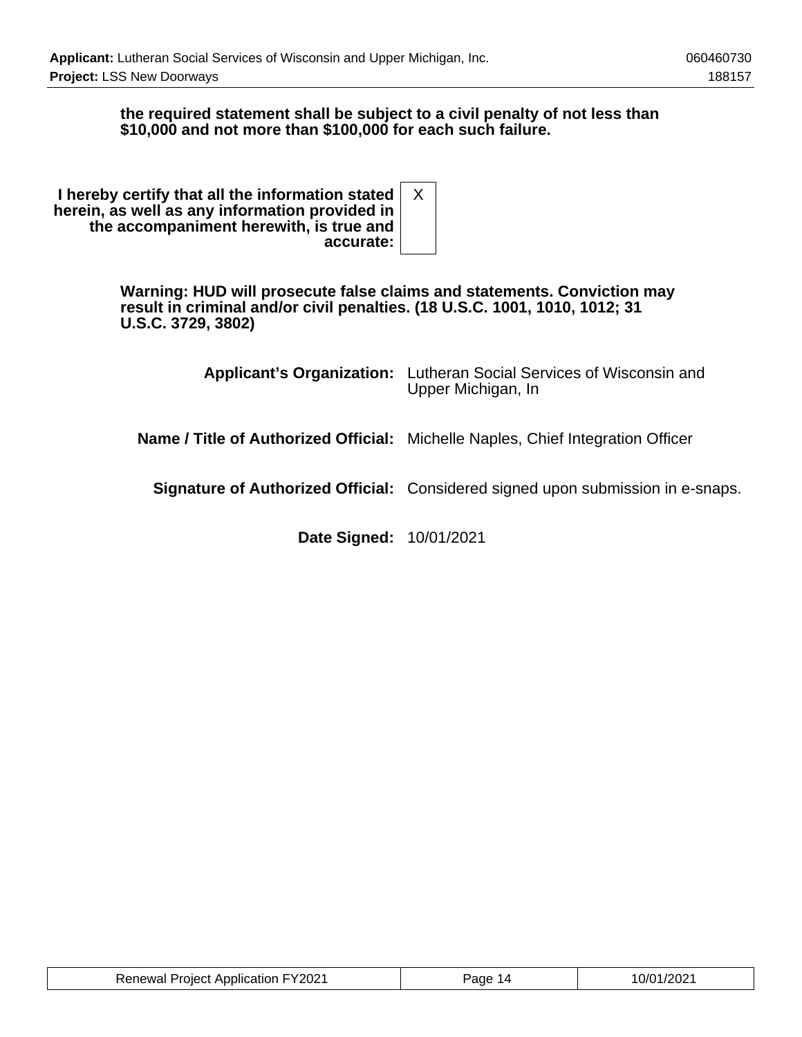#### **the required statement shall be subject to a civil penalty of not less than \$10,000 and not more than \$100,000 for each such failure.**

| I hereby certify that all the information stated<br>herein, as well as any information provided in<br>the accompaniment herewith, is true and | X |
|-----------------------------------------------------------------------------------------------------------------------------------------------|---|
| accurate:                                                                                                                                     |   |

**Warning: HUD will prosecute false claims and statements. Conviction may result in criminal and/or civil penalties. (18 U.S.C. 1001, 1010, 1012; 31 U.S.C. 3729, 3802)**

|                         | Applicant's Organization: Lutheran Social Services of Wisconsin and<br>Upper Michigan, In |
|-------------------------|-------------------------------------------------------------------------------------------|
|                         | <b>Name / Title of Authorized Official:</b> Michelle Naples, Chief Integration Officer    |
|                         | Signature of Authorized Official: Considered signed upon submission in e-snaps.           |
| Date Signed: 10/01/2021 |                                                                                           |

| <b>Renewal Project Application FY2021</b> | Page 14 | 10/01/2021 |
|-------------------------------------------|---------|------------|
|-------------------------------------------|---------|------------|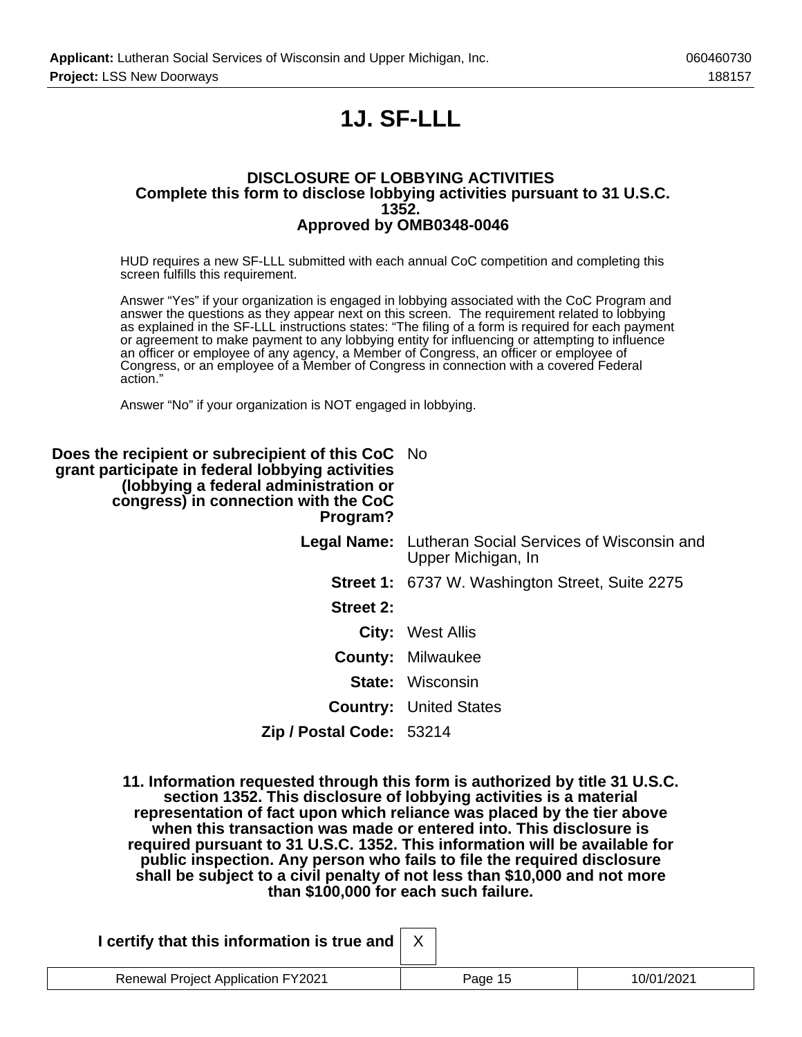# **1J. SF-LLL**

#### **DISCLOSURE OF LOBBYING ACTIVITIES Complete this form to disclose lobbying activities pursuant to 31 U.S.C. 1352. Approved by OMB0348-0046**

HUD requires a new SF-LLL submitted with each annual CoC competition and completing this screen fulfills this requirement.

Answer "Yes" if your organization is engaged in lobbying associated with the CoC Program and answer the questions as they appear next on this screen. The requirement related to lobbying as explained in the SF-LLL instructions states: "The filing of a form is required for each payment or agreement to make payment to any lobbying entity for influencing or attempting to influence an officer or employee of any agency, a Member of Congress, an officer or employee of Congress, or an employee of a Member of Congress in connection with a covered Federal action."

Answer "No" if your organization is NOT engaged in lobbying.

| Does the recipient or subrecipient of this CoC No                                  |
|------------------------------------------------------------------------------------|
| <b>Legal Name:</b> Lutheran Social Services of Wisconsin and<br>Upper Michigan, In |
| <b>Street 1: 6737 W. Washington Street, Suite 2275</b>                             |
|                                                                                    |
| <b>City: West Allis</b>                                                            |
| <b>County: Milwaukee</b>                                                           |
| <b>State:</b> Wisconsin                                                            |
| <b>Country: United States</b>                                                      |
| Zip / Postal Code: 53214                                                           |
|                                                                                    |

**11. Information requested through this form is authorized by title 31 U.S.C. section 1352. This disclosure of lobbying activities is a material representation of fact upon which reliance was placed by the tier above when this transaction was made or entered into. This disclosure is required pursuant to 31 U.S.C. 1352. This information will be available for public inspection. Any person who fails to file the required disclosure shall be subject to a civil penalty of not less than \$10,000 and not more than \$100,000 for each such failure.**

| I certify that this information is true and $ X $ |         |            |
|---------------------------------------------------|---------|------------|
| <b>Renewal Project Application FY2021</b>         | Page 15 | 10/01/2021 |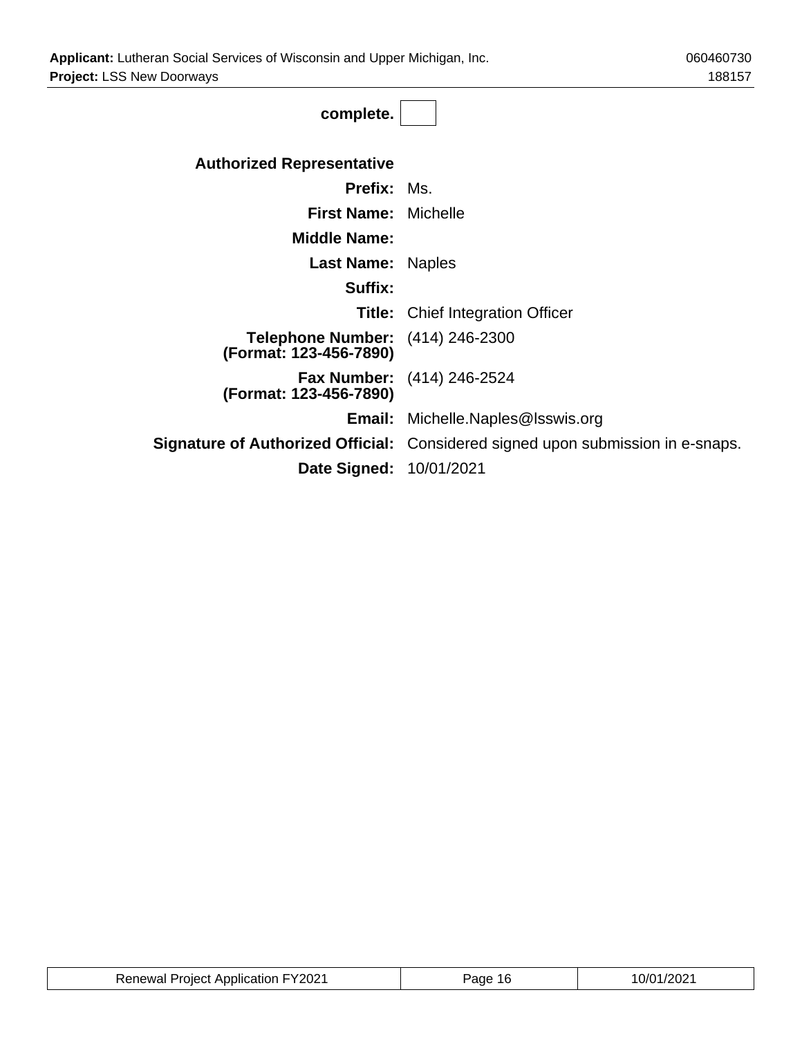| complete.                                                         |                                                                                 |
|-------------------------------------------------------------------|---------------------------------------------------------------------------------|
| <b>Authorized Representative</b>                                  |                                                                                 |
| <b>Prefix: Ms.</b>                                                |                                                                                 |
| <b>First Name: Michelle</b>                                       |                                                                                 |
| <b>Middle Name:</b>                                               |                                                                                 |
| <b>Last Name: Naples</b>                                          |                                                                                 |
| Suffix:                                                           |                                                                                 |
|                                                                   | <b>Title:</b> Chief Integration Officer                                         |
| <b>Telephone Number:</b> (414) 246-2300<br>(Format: 123-456-7890) |                                                                                 |
| (Format: 123-456-7890)                                            | <b>Fax Number:</b> (414) 246-2524                                               |
| <b>Email:</b>                                                     | Michelle.Naples@Isswis.org                                                      |
|                                                                   | Signature of Authorized Official: Considered signed upon submission in e-snaps. |
| <b>Date Signed: 10/01/2021</b>                                    |                                                                                 |

| <b>Renewal Project Application FY2021</b> | Page 16 | 10/01/2021 |
|-------------------------------------------|---------|------------|
|-------------------------------------------|---------|------------|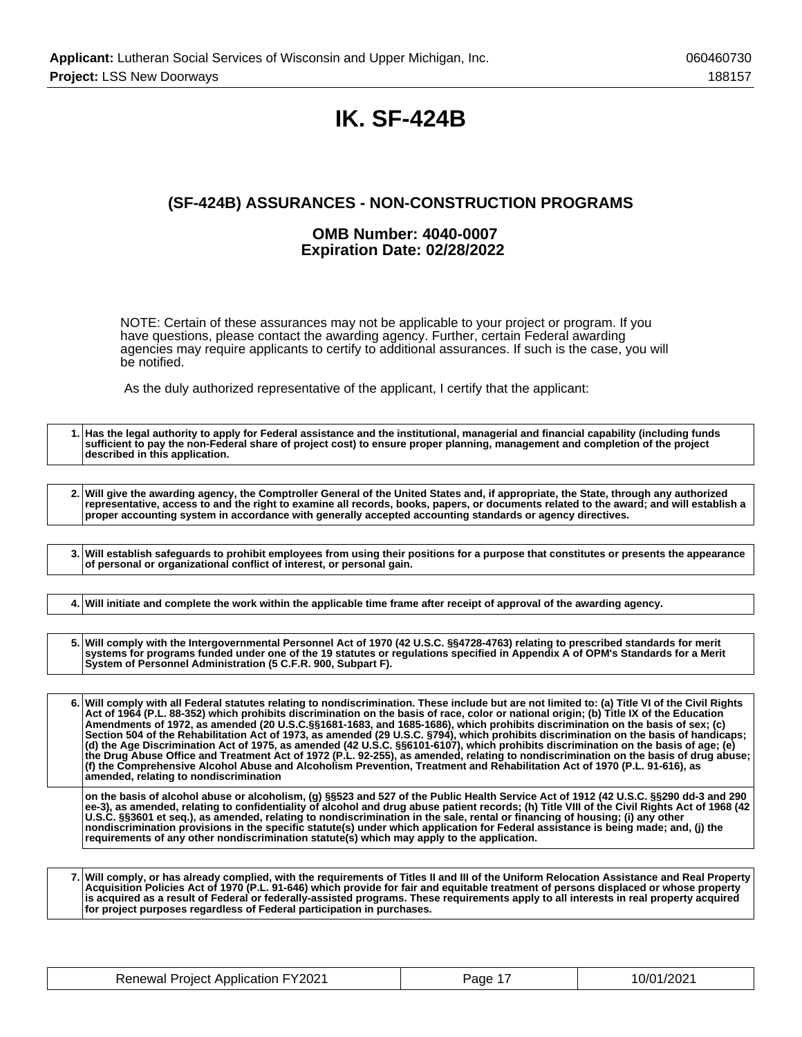### **IK. SF-424B**

### **(SF-424B) ASSURANCES - NON-CONSTRUCTION PROGRAMS**

#### **OMB Number: 4040-0007 Expiration Date: 02/28/2022**

NOTE: Certain of these assurances may not be applicable to your project or program. If you have questions, please contact the awarding agency. Further, certain Federal awarding agencies may require applicants to certify to additional assurances. If such is the case, you will be notified.

As the duly authorized representative of the applicant, I certify that the applicant:

**1. Has the legal authority to apply for Federal assistance and the institutional, managerial and financial capability (including funds sufficient to pay the non-Federal share of project cost) to ensure proper planning, management and completion of the project described in this application.**

**2. Will give the awarding agency, the Comptroller General of the United States and, if appropriate, the State, through any authorized representative, access to and the right to examine all records, books, papers, or documents related to the award; and will establish a proper accounting system in accordance with generally accepted accounting standards or agency directives.**

**3. Will establish safeguards to prohibit employees from using their positions for a purpose that constitutes or presents the appearance of personal or organizational conflict of interest, or personal gain.**

**4. Will initiate and complete the work within the applicable time frame after receipt of approval of the awarding agency.**

**5. Will comply with the Intergovernmental Personnel Act of 1970 (42 U.S.C. §§4728-4763) relating to prescribed standards for merit systems for programs funded under one of the 19 statutes or regulations specified in Appendix A of OPM's Standards for a Merit System of Personnel Administration (5 C.F.R. 900, Subpart F).**

**6. Will comply with all Federal statutes relating to nondiscrimination. These include but are not limited to: (a) Title VI of the Civil Rights Act of 1964 (P.L. 88-352) which prohibits discrimination on the basis of race, color or national origin; (b) Title IX of the Education Amendments of 1972, as amended (20 U.S.C.§§1681-1683, and 1685-1686), which prohibits discrimination on the basis of sex; (c) Section 504 of the Rehabilitation Act of 1973, as amended (29 U.S.C. §794), which prohibits discrimination on the basis of handicaps; (d) the Age Discrimination Act of 1975, as amended (42 U.S.C. §§6101-6107), which prohibits discrimination on the basis of age; (e) the Drug Abuse Office and Treatment Act of 1972 (P.L. 92-255), as amended, relating to nondiscrimination on the basis of drug abuse; (f) the Comprehensive Alcohol Abuse and Alcoholism Prevention, Treatment and Rehabilitation Act of 1970 (P.L. 91-616), as amended, relating to nondiscrimination**

**on the basis of alcohol abuse or alcoholism, (g) §§523 and 527 of the Public Health Service Act of 1912 (42 U.S.C. §§290 dd-3 and 290 ee-3), as amended, relating to confidentiality of alcohol and drug abuse patient records; (h) Title VIII of the Civil Rights Act of 1968 (42 U.S.C. §§3601 et seq.), as amended, relating to nondiscrimination in the sale, rental or financing of housing; (i) any other nondiscrimination provisions in the specific statute(s) under which application for Federal assistance is being made; and, (j) the requirements of any other nondiscrimination statute(s) which may apply to the application.**

**7. Will comply, or has already complied, with the requirements of Titles II and III of the Uniform Relocation Assistance and Real Property Acquisition Policies Act of 1970 (P.L. 91-646) which provide for fair and equitable treatment of persons displaced or whose property is acquired as a result of Federal or federally-assisted programs. These requirements apply to all interests in real property acquired for project purposes regardless of Federal participation in purchases.**

| <b>Renewal Project Application FY2021</b> | Page 1 <sup>-</sup> | 10/01/2021 |
|-------------------------------------------|---------------------|------------|
|-------------------------------------------|---------------------|------------|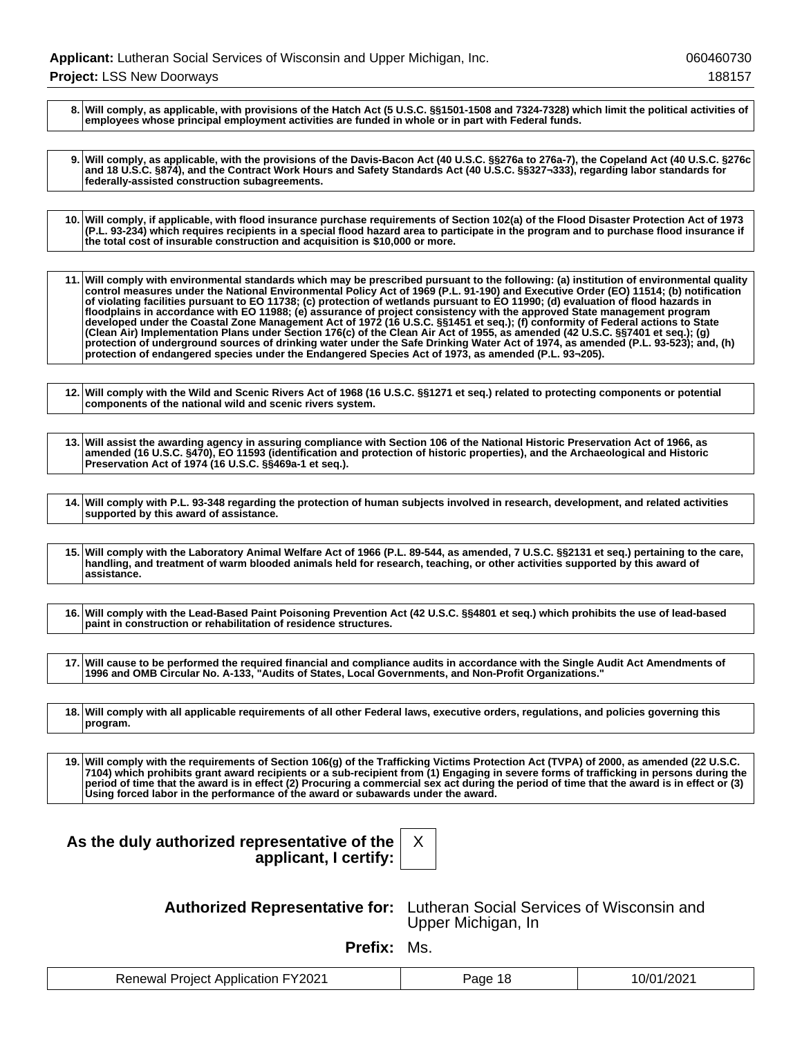**8. Will comply, as applicable, with provisions of the Hatch Act (5 U.S.C. §§1501-1508 and 7324-7328) which limit the political activities of employees whose principal employment activities are funded in whole or in part with Federal funds.**

**9. Will comply, as applicable, with the provisions of the Davis-Bacon Act (40 U.S.C. §§276a to 276a-7), the Copeland Act (40 U.S.C. §276c and 18 U.S.C. §874), and the Contract Work Hours and Safety Standards Act (40 U.S.C. §§327¬333), regarding labor standards for federally-assisted construction subagreements.**

**10. Will comply, if applicable, with flood insurance purchase requirements of Section 102(a) of the Flood Disaster Protection Act of 1973 (P.L. 93-234) which requires recipients in a special flood hazard area to participate in the program and to purchase flood insurance if the total cost of insurable construction and acquisition is \$10,000 or more.**

**11. Will comply with environmental standards which may be prescribed pursuant to the following: (a) institution of environmental quality control measures under the National Environmental Policy Act of 1969 (P.L. 91-190) and Executive Order (EO) 11514; (b) notification of violating facilities pursuant to EO 11738; (c) protection of wetlands pursuant to EO 11990; (d) evaluation of flood hazards in floodplains in accordance with EO 11988; (e) assurance of project consistency with the approved State management program developed under the Coastal Zone Management Act of 1972 (16 U.S.C. §§1451 et seq.); (f) conformity of Federal actions to State (Clean Air) Implementation Plans under Section 176(c) of the Clean Air Act of 1955, as amended (42 U.S.C. §§7401 et seq.); (g) protection of underground sources of drinking water under the Safe Drinking Water Act of 1974, as amended (P.L. 93-523); and, (h) protection of endangered species under the Endangered Species Act of 1973, as amended (P.L. 93¬205).**

**12. Will comply with the Wild and Scenic Rivers Act of 1968 (16 U.S.C. §§1271 et seq.) related to protecting components or potential components of the national wild and scenic rivers system.**

**13. Will assist the awarding agency in assuring compliance with Section 106 of the National Historic Preservation Act of 1966, as amended (16 U.S.C. §470), EO 11593 (identification and protection of historic properties), and the Archaeological and Historic Preservation Act of 1974 (16 U.S.C. §§469a-1 et seq.).**

**14. Will comply with P.L. 93-348 regarding the protection of human subjects involved in research, development, and related activities supported by this award of assistance.**

**15. Will comply with the Laboratory Animal Welfare Act of 1966 (P.L. 89-544, as amended, 7 U.S.C. §§2131 et seq.) pertaining to the care, handling, and treatment of warm blooded animals held for research, teaching, or other activities supported by this award of assistance.**

**16. Will comply with the Lead-Based Paint Poisoning Prevention Act (42 U.S.C. §§4801 et seq.) which prohibits the use of lead-based paint in construction or rehabilitation of residence structures.**

**17. Will cause to be performed the required financial and compliance audits in accordance with the Single Audit Act Amendments of 1996 and OMB Circular No. A-133, "Audits of States, Local Governments, and Non-Profit Organizations."**

**18. Will comply with all applicable requirements of all other Federal laws, executive orders, regulations, and policies governing this program.**

**19. Will comply with the requirements of Section 106(g) of the Trafficking Victims Protection Act (TVPA) of 2000, as amended (22 U.S.C. 7104) which prohibits grant award recipients or a sub-recipient from (1) Engaging in severe forms of trafficking in persons during the period of time that the award is in effect (2) Procuring a commercial sex act during the period of time that the award is in effect or (3) Using forced labor in the performance of the award or subawards under the award.**

X

| As the duly authorized representative of the $ $ |  |
|--------------------------------------------------|--|
| $applied$ , I certify:                           |  |

**Authorized Representative for:** Lutheran Social Services of Wisconsin and Upper Michigan, In

**Prefix:** Ms.

| <b>Renewal Project Application FY2021</b> | Page 18 | 10/01/2021 |
|-------------------------------------------|---------|------------|
|-------------------------------------------|---------|------------|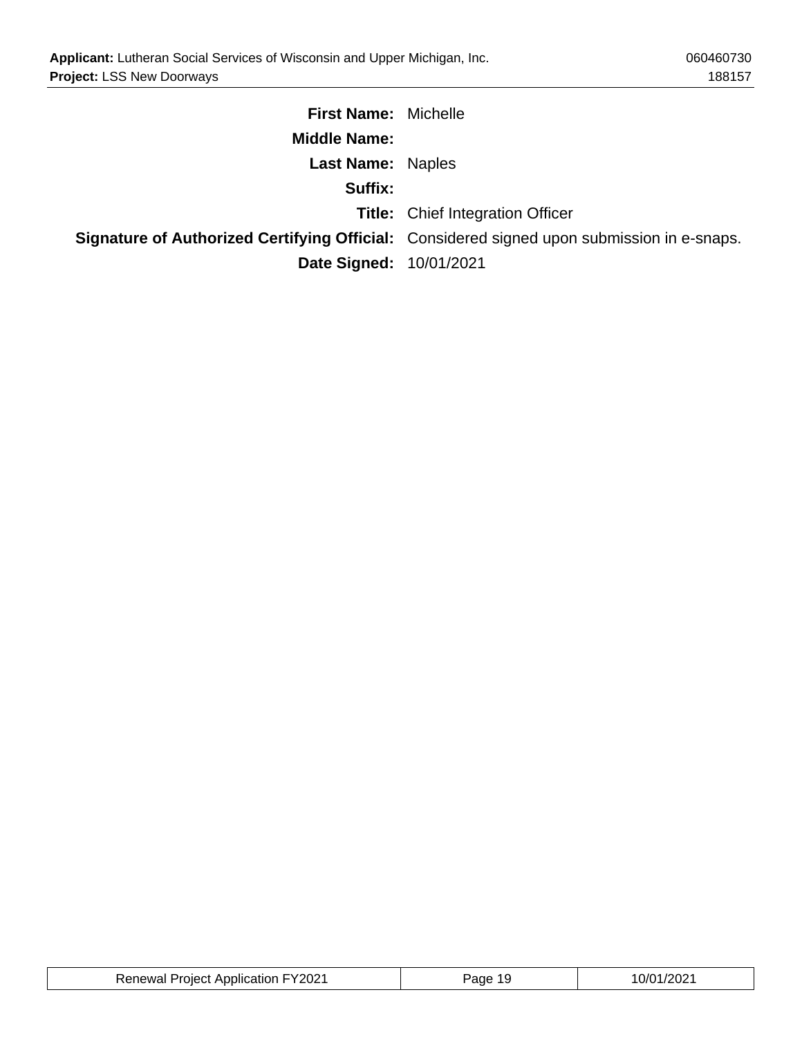| <b>First Name: Michelle</b> |                                                                                                   |
|-----------------------------|---------------------------------------------------------------------------------------------------|
| <b>Middle Name:</b>         |                                                                                                   |
| <b>Last Name: Naples</b>    |                                                                                                   |
| Suffix:                     |                                                                                                   |
|                             | <b>Title:</b> Chief Integration Officer                                                           |
|                             | <b>Signature of Authorized Certifying Official:</b> Considered signed upon submission in e-snaps. |
| Date Signed: 10/01/2021     |                                                                                                   |

| <b>Renewal Project Application FY2021</b> | Page 19 | 10/01/2021 |
|-------------------------------------------|---------|------------|
|-------------------------------------------|---------|------------|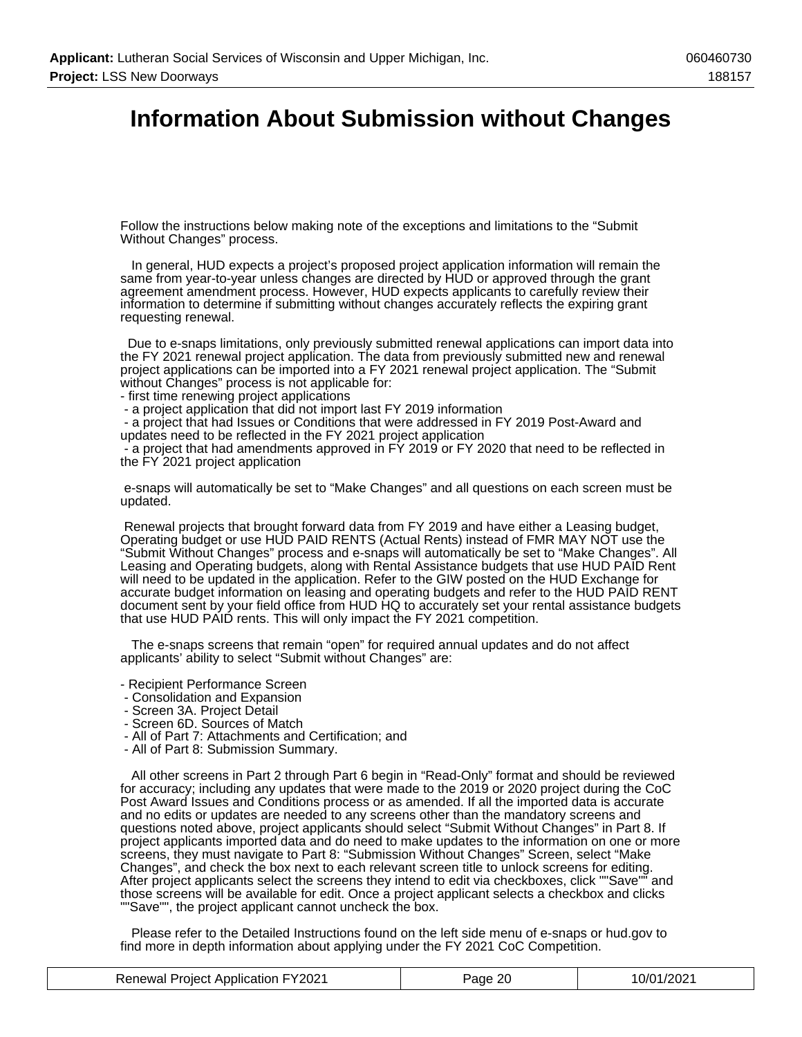### **Information About Submission without Changes**

Follow the instructions below making note of the exceptions and limitations to the "Submit Without Changes" process.

 In general, HUD expects a project's proposed project application information will remain the same from year-to-year unless changes are directed by HUD or approved through the grant agreement amendment process. However, HUD expects applicants to carefully review their information to determine if submitting without changes accurately reflects the expiring grant requesting renewal.

 Due to e-snaps limitations, only previously submitted renewal applications can import data into the FY 2021 renewal project application. The data from previously submitted new and renewal project applications can be imported into a FY 2021 renewal project application. The "Submit without Changes" process is not applicable for:

- first time renewing project applications
- a project application that did not import last FY 2019 information

 - a project that had Issues or Conditions that were addressed in FY 2019 Post-Award and updates need to be reflected in the FY 2021 project application

 - a project that had amendments approved in FY 2019 or FY 2020 that need to be reflected in the FY 2021 project application

 e-snaps will automatically be set to "Make Changes" and all questions on each screen must be updated.

 Renewal projects that brought forward data from FY 2019 and have either a Leasing budget, Operating budget or use HUD PAID RENTS (Actual Rents) instead of FMR MAY NOT use the "Submit Without Changes" process and e-snaps will automatically be set to "Make Changes". All Leasing and Operating budgets, along with Rental Assistance budgets that use HUD PAID Rent will need to be updated in the application. Refer to the GIW posted on the HUD Exchange for accurate budget information on leasing and operating budgets and refer to the HUD PAID RENT document sent by your field office from HUD HQ to accurately set your rental assistance budgets that use HUD PAID rents. This will only impact the FY 2021 competition.

 The e-snaps screens that remain "open" for required annual updates and do not affect applicants' ability to select "Submit without Changes" are:

- Recipient Performance Screen
- Consolidation and Expansion
- Screen 3A. Project Detail
- Screen 6D. Sources of Match
- All of Part 7: Attachments and Certification; and
- All of Part 8: Submission Summary.

 All other screens in Part 2 through Part 6 begin in "Read-Only" format and should be reviewed for accuracy; including any updates that were made to the 2019 or 2020 project during the CoC Post Award Issues and Conditions process or as amended. If all the imported data is accurate and no edits or updates are needed to any screens other than the mandatory screens and questions noted above, project applicants should select "Submit Without Changes" in Part 8. If project applicants imported data and do need to make updates to the information on one or more screens, they must navigate to Part 8: "Submission Without Changes" Screen, select "Make Changes", and check the box next to each relevant screen title to unlock screens for editing. After project applicants select the screens they intend to edit via checkboxes, click ""Save"" and those screens will be available for edit. Once a project applicant selects a checkbox and clicks ""Save"", the project applicant cannot uncheck the box.

 Please refer to the Detailed Instructions found on the left side menu of e-snaps or hud.gov to find more in depth information about applying under the FY 2021 CoC Competition.

| <b>Renewal Project Application FY2021</b> | Page 20 | 10/01/2021 |
|-------------------------------------------|---------|------------|
|-------------------------------------------|---------|------------|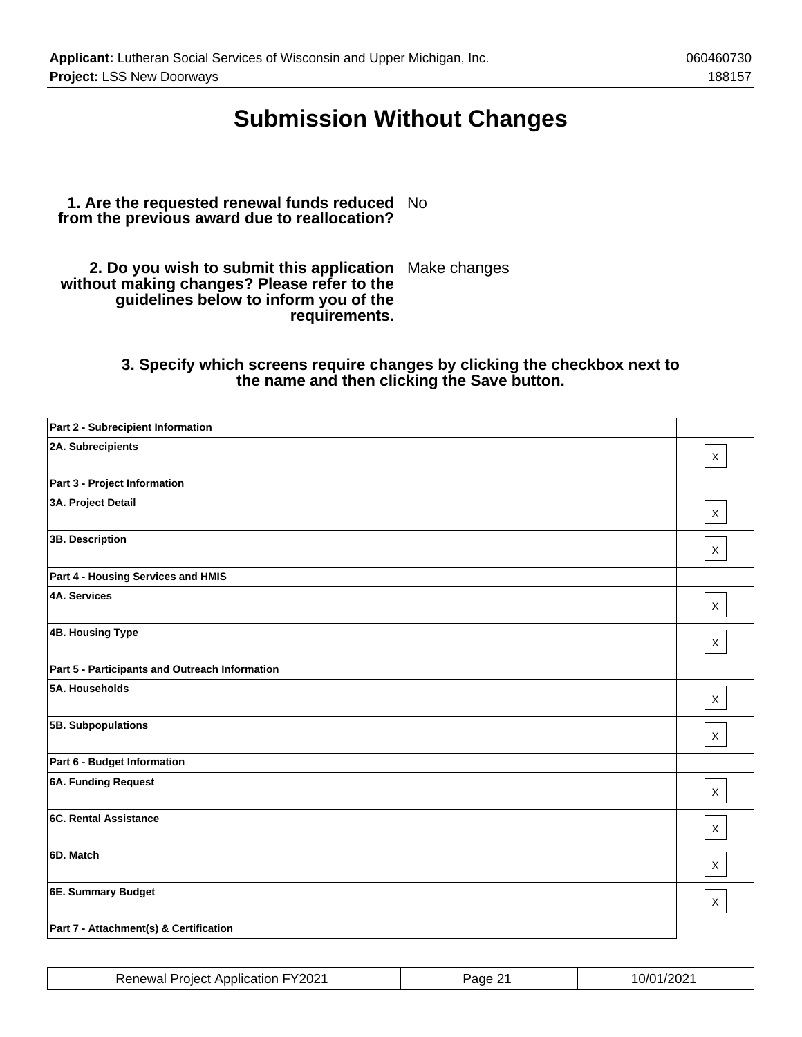# **Submission Without Changes**

#### **1. Are the requested renewal funds reduced** No **from the previous award due to reallocation?**

**2. Do you wish to submit this application without making changes? Please refer to the guidelines below to inform you of the requirements.** Make changes

#### **3. Specify which screens require changes by clicking the checkbox next to the name and then clicking the Save button.**

| Part 2 - Subrecipient Information              |              |
|------------------------------------------------|--------------|
| 2A. Subrecipients                              | $\mathsf{X}$ |
| Part 3 - Project Information                   |              |
| 3A. Project Detail                             | $\mathsf X$  |
| 3B. Description                                | $\mathsf{X}$ |
| Part 4 - Housing Services and HMIS             |              |
| <b>4A. Services</b>                            | $\mathsf{X}$ |
| <b>4B. Housing Type</b>                        | $\times$     |
| Part 5 - Participants and Outreach Information |              |
| 5A. Households                                 | $\mathsf{X}$ |
| 5B. Subpopulations                             | $\mathsf{X}$ |
| Part 6 - Budget Information                    |              |
| 6A. Funding Request                            | $\mathsf X$  |
| <b>6C. Rental Assistance</b>                   | $\mathsf{X}$ |
| 6D. Match                                      | $\mathsf X$  |
| 6E. Summary Budget                             | $\times$     |
| Part 7 - Attachment(s) & Certification         |              |

| <b>Renewal Project Application FY2021</b> | Page $24$ | 10/01/2021 |
|-------------------------------------------|-----------|------------|
|-------------------------------------------|-----------|------------|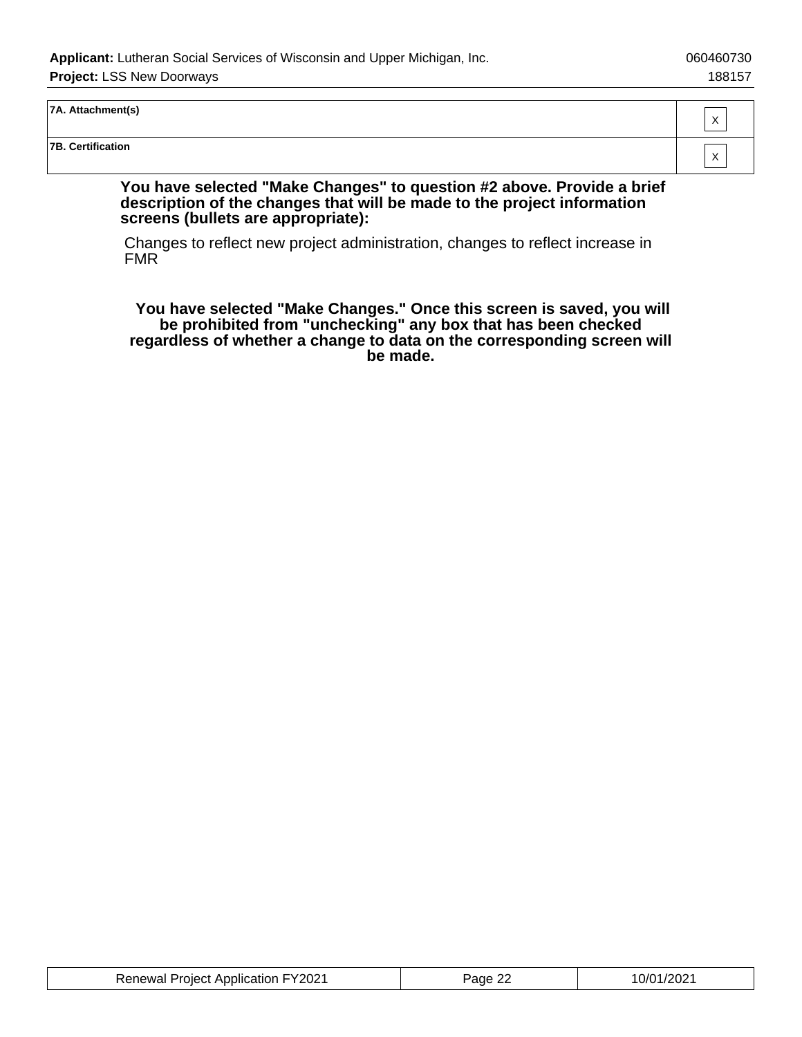| 7A. Attachment(s) | $\lambda$ |
|-------------------|-----------|
| 7B. Certification | $\lambda$ |

#### **You have selected "Make Changes" to question #2 above. Provide a brief description of the changes that will be made to the project information screens (bullets are appropriate):**

Changes to reflect new project administration, changes to reflect increase in FMR

 **You have selected "Make Changes." Once this screen is saved, you will be prohibited from "unchecking" any box that has been checked regardless of whether a change to data on the corresponding screen will be made.**

| <b>Renewal Project Application FY2021</b> | <sup>2</sup> age 22 | 10/01/2021 |
|-------------------------------------------|---------------------|------------|
|-------------------------------------------|---------------------|------------|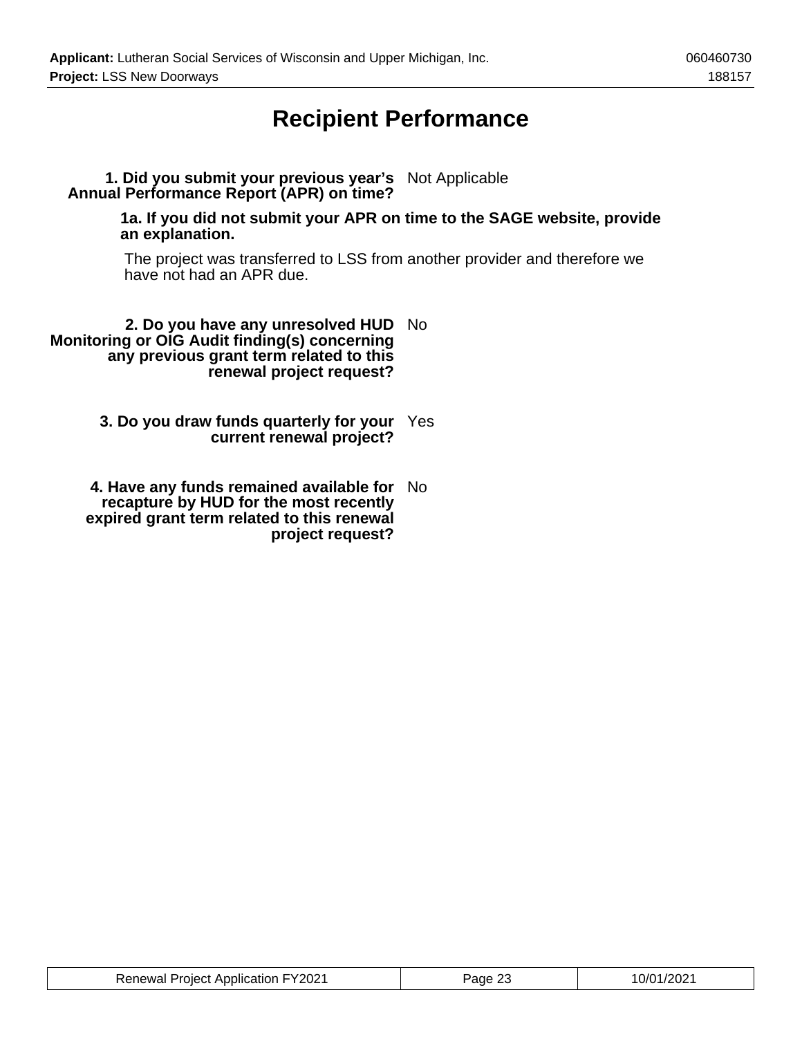### **Recipient Performance**

### **1. Did you submit your previous year's** Not Applicable **Annual Performance Report (APR) on time?**

**1a. If you did not submit your APR on time to the SAGE website, provide an explanation.**

The project was transferred to LSS from another provider and therefore we have not had an APR due.

**2. Do you have any unresolved HUD** No **Monitoring or OIG Audit finding(s) concerning any previous grant term related to this renewal project request?**

> **3. Do you draw funds quarterly for your** Yes **current renewal project?**

**4. Have any funds remained available for** No **recapture by HUD for the most recently expired grant term related to this renewal project request?**

| <b>Renewal Project Application FY2021</b> | Page 23 | 10/01/2021 |
|-------------------------------------------|---------|------------|
|-------------------------------------------|---------|------------|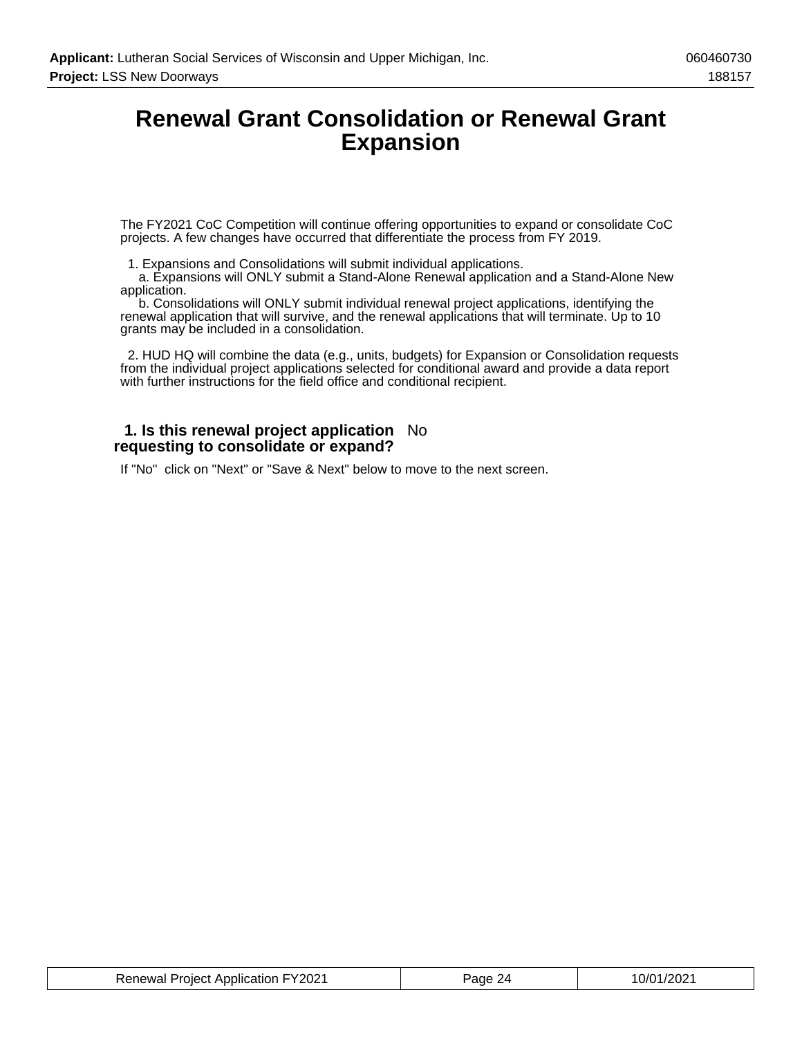### **Renewal Grant Consolidation or Renewal Grant Expansion**

The FY2021 CoC Competition will continue offering opportunities to expand or consolidate CoC projects. A few changes have occurred that differentiate the process from FY 2019.

1. Expansions and Consolidations will submit individual applications.

 a. Expansions will ONLY submit a Stand-Alone Renewal application and a Stand-Alone New application.

 b. Consolidations will ONLY submit individual renewal project applications, identifying the renewal application that will survive, and the renewal applications that will terminate. Up to 10 grants may be included in a consolidation.

 2. HUD HQ will combine the data (e.g., units, budgets) for Expansion or Consolidation requests from the individual project applications selected for conditional award and provide a data report with further instructions for the field office and conditional recipient.

#### **1. Is this renewal project application** No **requesting to consolidate or expand?**

If "No" click on "Next" or "Save & Next" below to move to the next screen.

| <b>Renewal Project Application FY2021</b> | Page 24 | 10/01/2021 |
|-------------------------------------------|---------|------------|
|-------------------------------------------|---------|------------|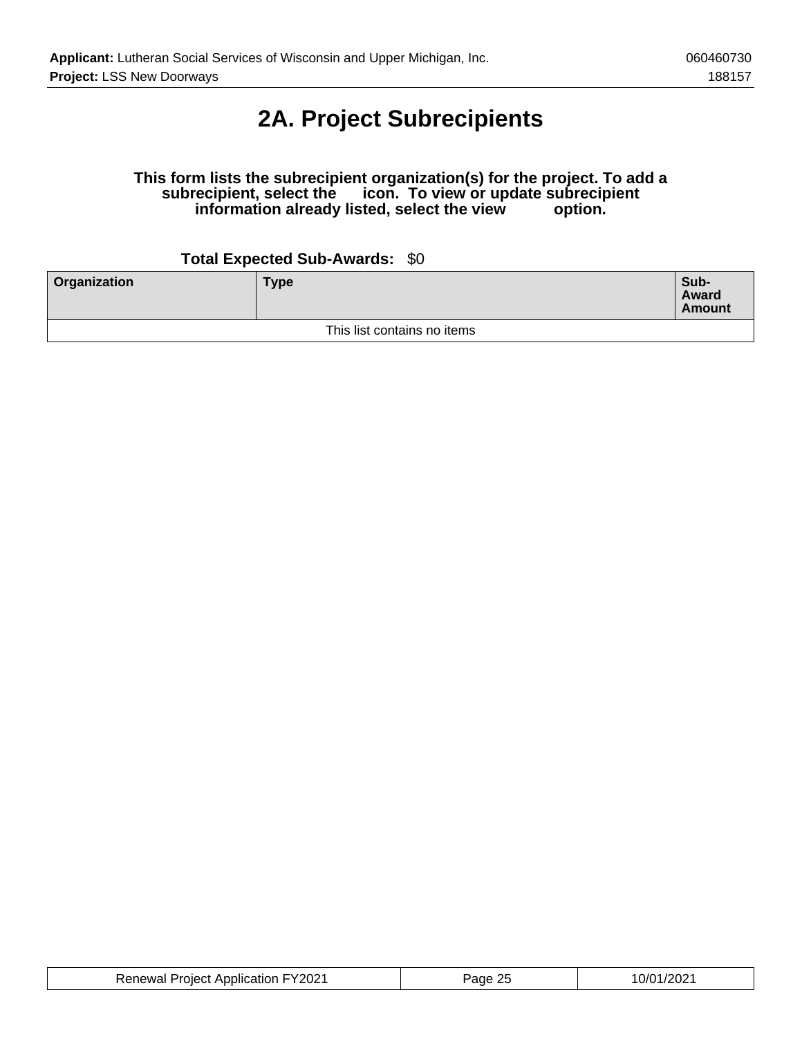# **2A. Project Subrecipients**

#### **This form lists the subrecipient organization(s) for the project. To add a subrecipient, select the icon. To view or update subrecipient information already listed, select the view option.**

### **Total Expected Sub-Awards:** \$0

| Organization | <b>Type</b>                 | Sub-<br>Award<br>Amount |
|--------------|-----------------------------|-------------------------|
|              | This list contains no items |                         |

| <b>Renewal Project Application FY2021</b> | Page $25$ | 10/01/2021 |
|-------------------------------------------|-----------|------------|
|-------------------------------------------|-----------|------------|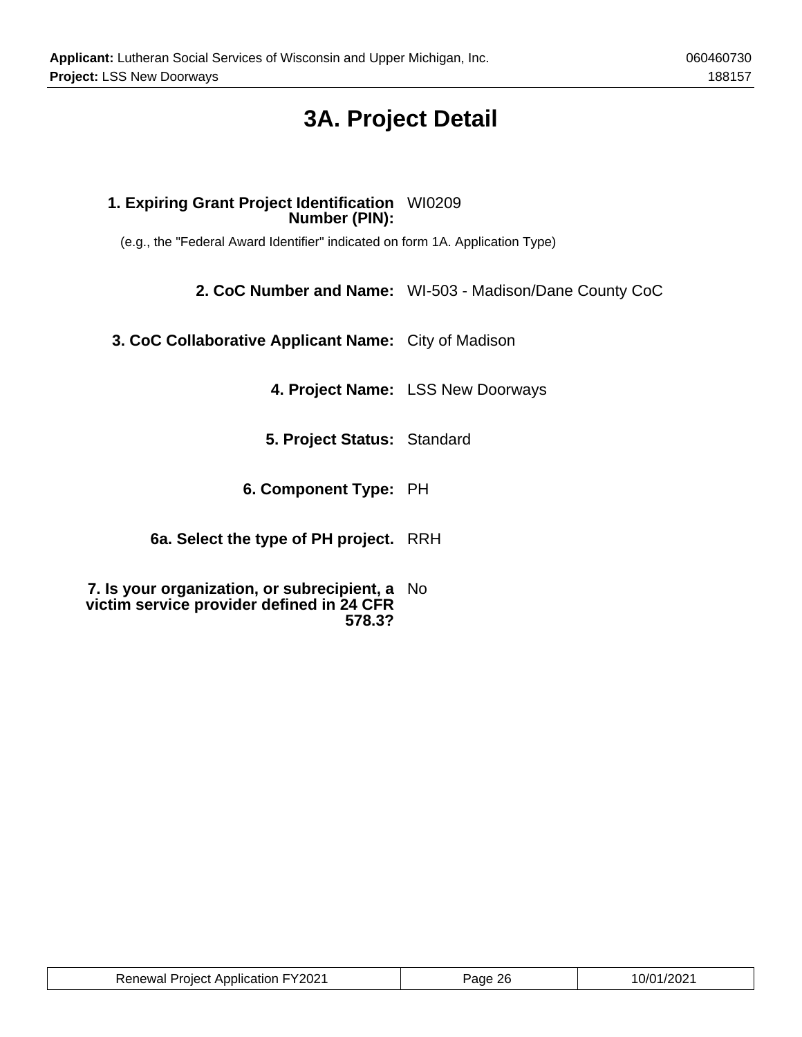# **3A. Project Detail**

### **1. Expiring Grant Project Identification** WI0209 **Number (PIN):**

(e.g., the "Federal Award Identifier" indicated on form 1A. Application Type)

**2. CoC Number and Name:** WI-503 - Madison/Dane County CoC

**3. CoC Collaborative Applicant Name:** City of Madison

**4. Project Name:** LSS New Doorways

- **5. Project Status:** Standard
- **6. Component Type:** PH

**6a. Select the type of PH project.** RRH

**7. Is your organization, or subrecipient, a** No **victim service provider defined in 24 CFR 578.3?**

| <b>Renewal Project Application FY2021</b> | Page 26 | 10/01/2021 |
|-------------------------------------------|---------|------------|
|-------------------------------------------|---------|------------|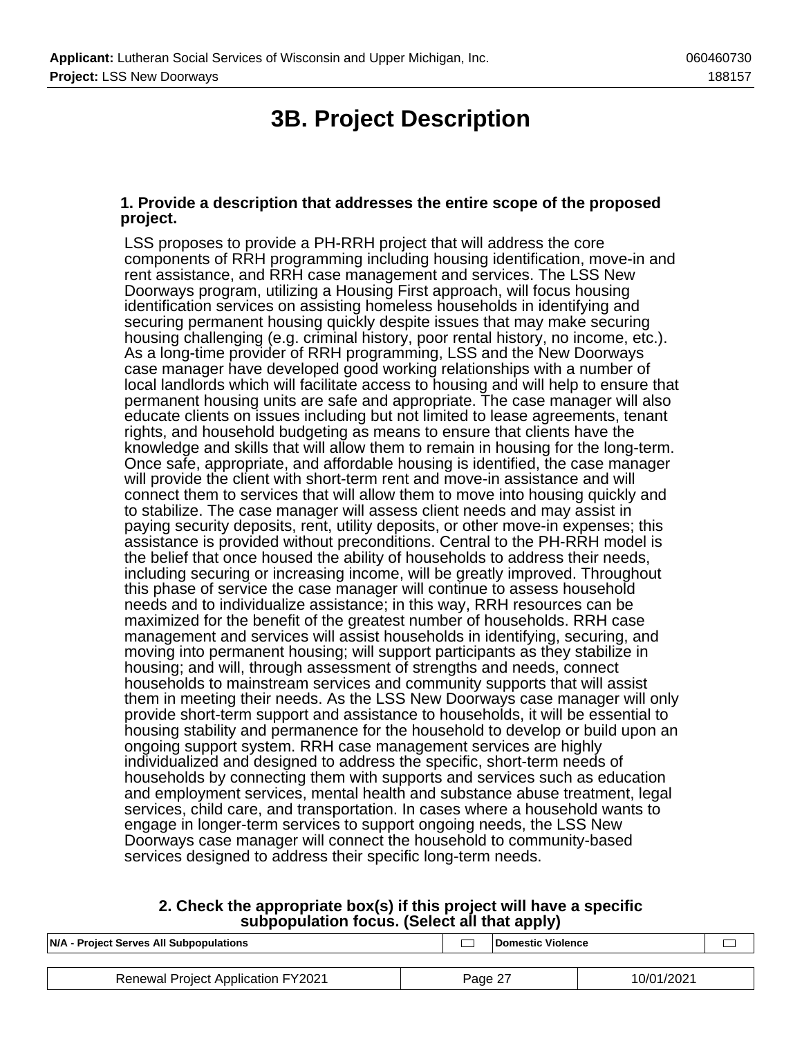# **3B. Project Description**

### **1. Provide a description that addresses the entire scope of the proposed project.**

LSS proposes to provide a PH-RRH project that will address the core components of RRH programming including housing identification, move-in and rent assistance, and RRH case management and services. The LSS New Doorways program, utilizing a Housing First approach, will focus housing identification services on assisting homeless households in identifying and securing permanent housing quickly despite issues that may make securing housing challenging (e.g. criminal history, poor rental history, no income, etc.). As a long-time provider of RRH programming, LSS and the New Doorways case manager have developed good working relationships with a number of local landlords which will facilitate access to housing and will help to ensure that permanent housing units are safe and appropriate. The case manager will also educate clients on issues including but not limited to lease agreements, tenant rights, and household budgeting as means to ensure that clients have the knowledge and skills that will allow them to remain in housing for the long-term. Once safe, appropriate, and affordable housing is identified, the case manager will provide the client with short-term rent and move-in assistance and will connect them to services that will allow them to move into housing quickly and to stabilize. The case manager will assess client needs and may assist in paying security deposits, rent, utility deposits, or other move-in expenses; this assistance is provided without preconditions. Central to the PH-RRH model is the belief that once housed the ability of households to address their needs, including securing or increasing income, will be greatly improved. Throughout this phase of service the case manager will continue to assess household needs and to individualize assistance; in this way, RRH resources can be maximized for the benefit of the greatest number of households. RRH case management and services will assist households in identifying, securing, and moving into permanent housing; will support participants as they stabilize in housing; and will, through assessment of strengths and needs, connect households to mainstream services and community supports that will assist them in meeting their needs. As the LSS New Doorways case manager will only provide short-term support and assistance to households, it will be essential to housing stability and permanence for the household to develop or build upon an ongoing support system. RRH case management services are highly individualized and designed to address the specific, short-term needs of households by connecting them with supports and services such as education and employment services, mental health and substance abuse treatment, legal services, child care, and transportation. In cases where a household wants to engage in longer-term services to support ongoing needs, the LSS New Doorways case manager will connect the household to community-based services designed to address their specific long-term needs.

#### **2. Check the appropriate box(s) if this project will have a specific subpopulation focus. (Select all that apply)**

| N/A - Project Serves All Subpopulations   |  |         | <b>Domestic Violence</b> |            |  |
|-------------------------------------------|--|---------|--------------------------|------------|--|
|                                           |  |         |                          |            |  |
| <b>Renewal Project Application FY2021</b> |  | Page 27 |                          | 10/01/2021 |  |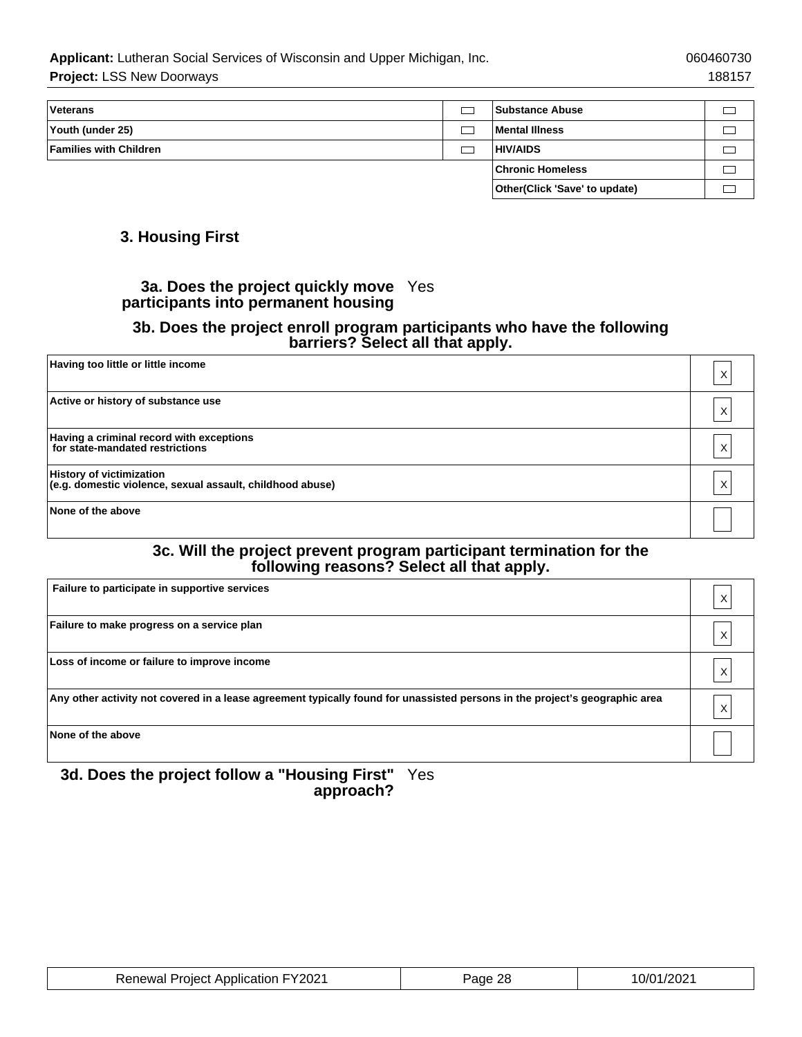| <b>Veterans</b>        | <b>Substance Abuse</b>         |  |
|------------------------|--------------------------------|--|
| Youth (under 25)       | Mental Illness                 |  |
| Families with Children | <b>HIV/AIDS</b>                |  |
|                        | <b>Chronic Homeless</b>        |  |
|                        | Other (Click 'Save' to update) |  |

### **3. Housing First**

#### **3a. Does the project quickly move participants into permanent housing** Yes

### **3b. Does the project enroll program participants who have the following barriers? Select all that apply.**

| Having too little or little income                                                           | Χ |
|----------------------------------------------------------------------------------------------|---|
| Active or history of substance use                                                           | X |
| Having a criminal record with exceptions<br>for state-mandated restrictions                  | X |
| <b>History of victimization</b><br>(e.g. domestic violence, sexual assault, childhood abuse) | Χ |
| None of the above                                                                            |   |

### **3c. Will the project prevent program participant termination for the following reasons? Select all that apply.**

| Failure to participate in supportive services                                                                               | X |
|-----------------------------------------------------------------------------------------------------------------------------|---|
| Failure to make progress on a service plan                                                                                  | X |
| Loss of income or failure to improve income                                                                                 | X |
| Any other activity not covered in a lease agreement typically found for unassisted persons in the project's geographic area | X |
| None of the above                                                                                                           |   |

#### **3d. Does the project follow a "Housing First"** Yes **approach?**

| <b>Renewal Project Application FY2021</b> | Page 28 | 10/01/2021 |
|-------------------------------------------|---------|------------|
|-------------------------------------------|---------|------------|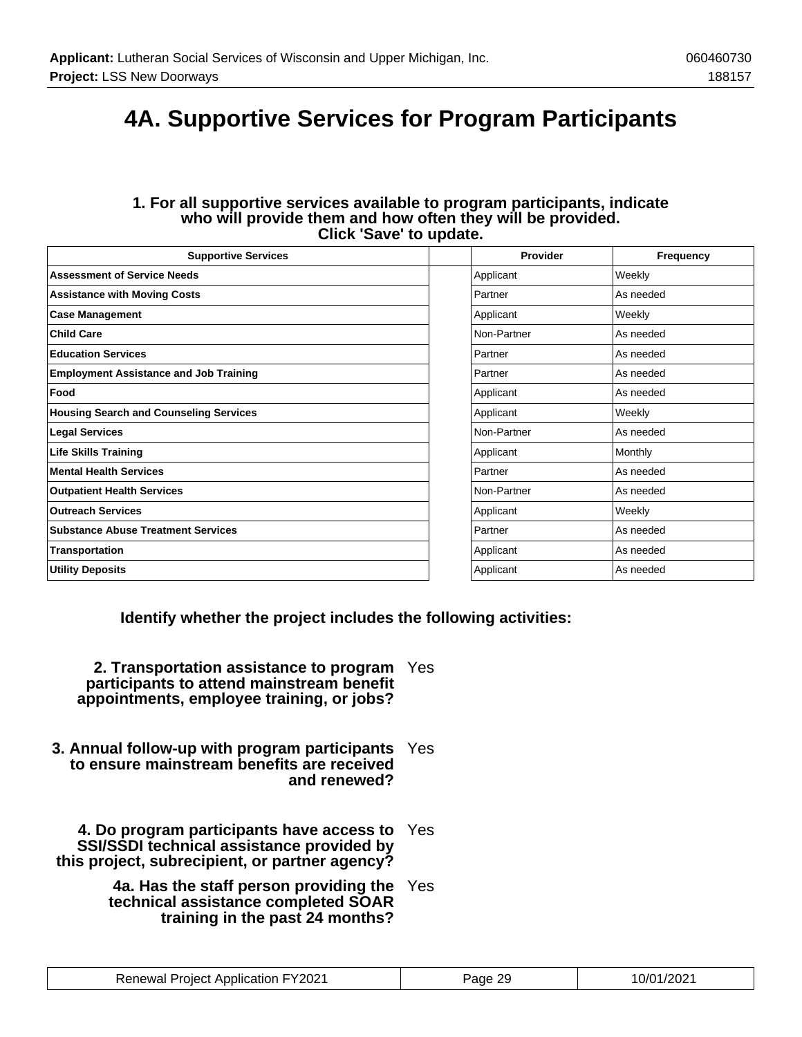# **4A. Supportive Services for Program Participants**

#### **1. For all supportive services available to program participants, indicate who will provide them and how often they will be provided. Click 'Save' to update.**

| <b>Supportive Services</b>                    | <b>Provider</b> | Frequency     |
|-----------------------------------------------|-----------------|---------------|
| <b>Assessment of Service Needs</b>            | Applicant       | Weekly        |
| <b>Assistance with Moving Costs</b>           | Partner         | As needed     |
| <b>Case Management</b>                        | Applicant       | <b>Weekly</b> |
| <b>Child Care</b>                             | Non-Partner     | As needed     |
| <b>Education Services</b>                     | Partner         | As needed     |
| <b>Employment Assistance and Job Training</b> | Partner         | As needed     |
| Food                                          | Applicant       | As needed     |
| <b>Housing Search and Counseling Services</b> | Applicant       | Weekly        |
| <b>Legal Services</b>                         | Non-Partner     | As needed     |
| <b>Life Skills Training</b>                   | Applicant       | Monthly       |
| <b>Mental Health Services</b>                 | Partner         | As needed     |
| <b>Outpatient Health Services</b>             | Non-Partner     | As needed     |
| <b>Outreach Services</b>                      | Applicant       | Weekly        |
| <b>Substance Abuse Treatment Services</b>     | Partner         | As needed     |
| Transportation                                | Applicant       | As needed     |
| <b>Utility Deposits</b>                       | Applicant       | As needed     |

**Identify whether the project includes the following activities:**

| 2. Transportation assistance to program<br>participants to attend mainstream benefit<br>appointments, employee training, or jobs?            | Yes |
|----------------------------------------------------------------------------------------------------------------------------------------------|-----|
| 3. Annual follow-up with program participants Yes<br>to ensure mainstream benefits are received<br>and renewed?                              |     |
| 4. Do program participants have access to Yes<br>SSI/SSDI technical assistance provided by<br>this project, subrecipient, or partner agency? |     |
| 4a. Has the staff person providing the<br>technical assistance completed SOAR<br>training in the past 24 months?                             | Yes |

| <b>Renewal Project Application FY2021</b> | Page 29 | 10/01/2021 |
|-------------------------------------------|---------|------------|
|-------------------------------------------|---------|------------|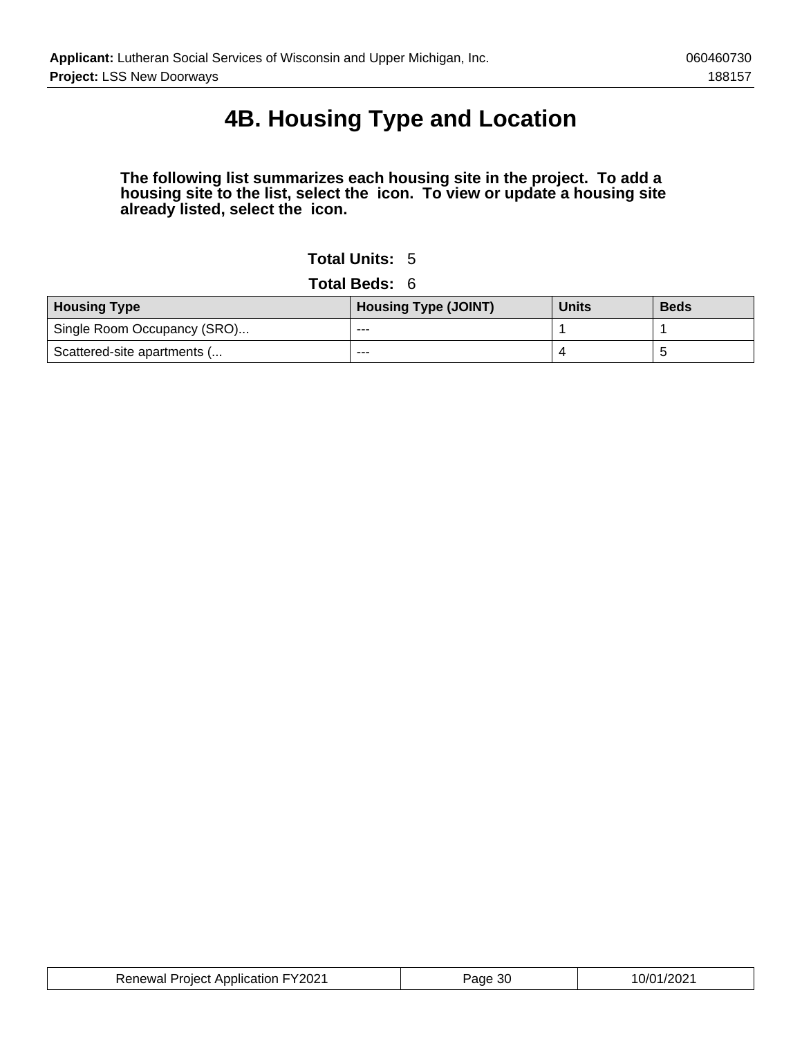# **4B. Housing Type and Location**

#### **The following list summarizes each housing site in the project. To add a housing site to the list, select the icon. To view or update a housing site already listed, select the icon.**

### **Total Units:** 5

#### **Total Beds:** 6

| <b>Housing Type</b>         | Housing Type (JOINT) | <b>Units</b> | <b>Beds</b> |
|-----------------------------|----------------------|--------------|-------------|
| Single Room Occupancy (SRO) | ---                  |              |             |
| Scattered-site apartments ( | ---                  |              |             |

| <b>Renewal Project Application FY2021</b> | Page 30 | 10/01/2021 |
|-------------------------------------------|---------|------------|
|-------------------------------------------|---------|------------|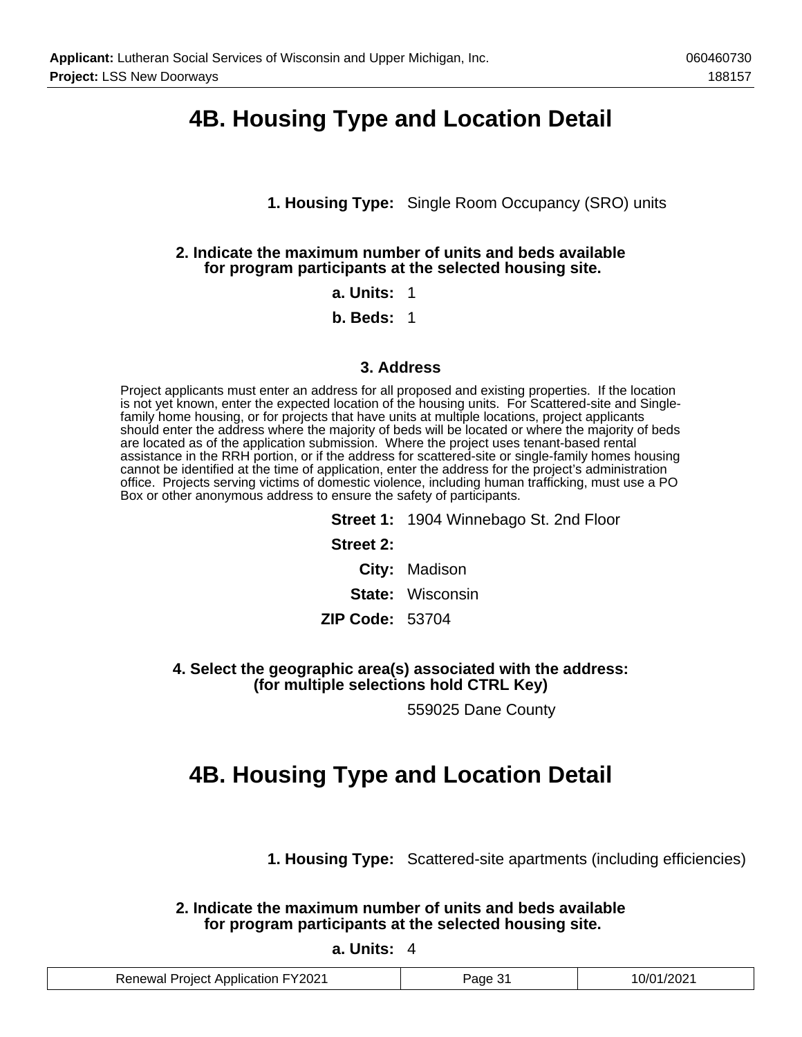### **4B. Housing Type and Location Detail**

**1. Housing Type:** Single Room Occupancy (SRO) units

#### **2. Indicate the maximum number of units and beds available for program participants at the selected housing site.**

#### **a. Units:** 1

**b. Beds:** 1

#### **3. Address**

Project applicants must enter an address for all proposed and existing properties. If the location is not yet known, enter the expected location of the housing units. For Scattered-site and Singlefamily home housing, or for projects that have units at multiple locations, project applicants should enter the address where the majority of beds will be located or where the majority of beds are located as of the application submission. Where the project uses tenant-based rental assistance in the RRH portion, or if the address for scattered-site or single-family homes housing cannot be identified at the time of application, enter the address for the project's administration office. Projects serving victims of domestic violence, including human trafficking, must use a PO Box or other anonymous address to ensure the safety of participants.

> **Street 1:** 1904 Winnebago St. 2nd Floor **Street 2: City:** Madison **State:** Wisconsin **ZIP Code:** 53704

**4. Select the geographic area(s) associated with the address: (for multiple selections hold CTRL Key)**

559025 Dane County

### **4B. Housing Type and Location Detail**

**1. Housing Type:** Scattered-site apartments (including efficiencies)

**2. Indicate the maximum number of units and beds available for program participants at the selected housing site.**

**a. Units:** 4

| olication FY2021<br><b>A</b><br>ewa.<br>ADDIIC?*∵<br>.olect. | $\sim$<br>ane | ാറെ<br>. .<br>wz |
|--------------------------------------------------------------|---------------|------------------|
|--------------------------------------------------------------|---------------|------------------|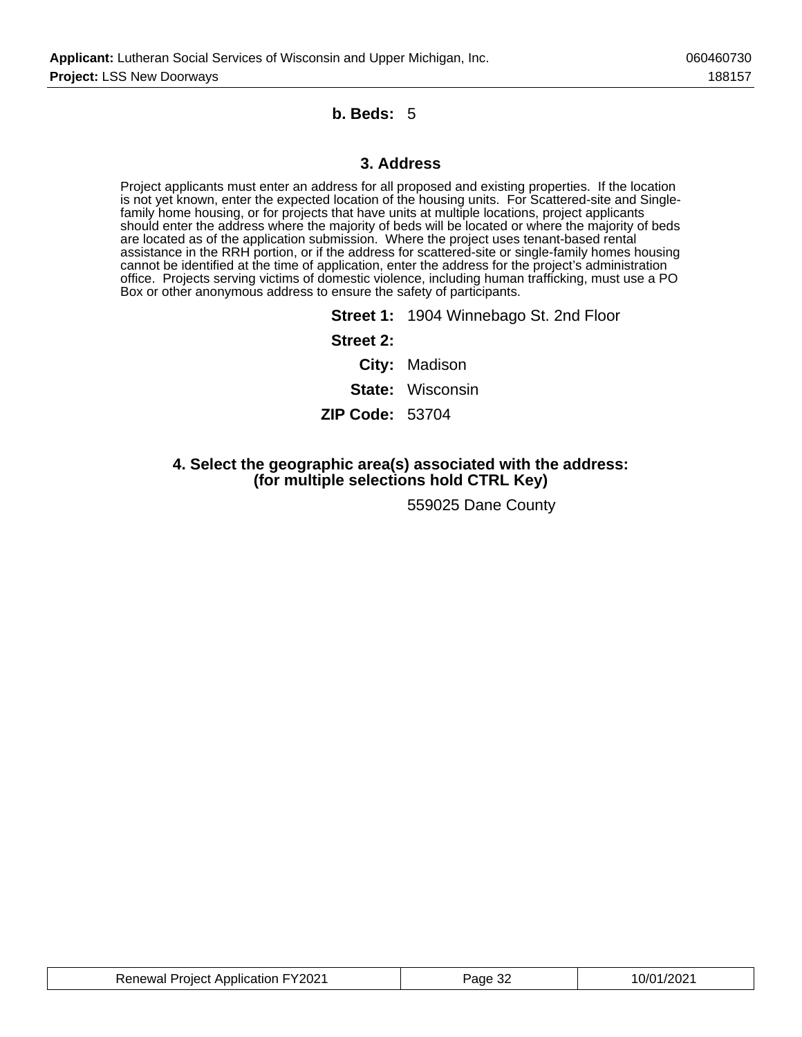### **b. Beds:** 5

#### **3. Address**

Project applicants must enter an address for all proposed and existing properties. If the location is not yet known, enter the expected location of the housing units. For Scattered-site and Singlefamily home housing, or for projects that have units at multiple locations, project applicants should enter the address where the majority of beds will be located or where the majority of beds are located as of the application submission. Where the project uses tenant-based rental assistance in the RRH portion, or if the address for scattered-site or single-family homes housing cannot be identified at the time of application, enter the address for the project's administration office. Projects serving victims of domestic violence, including human trafficking, must use a PO Box or other anonymous address to ensure the safety of participants.

|                        | <b>Street 1: 1904 Winnebago St. 2nd Floor</b> |
|------------------------|-----------------------------------------------|
| <b>Street 2:</b>       |                                               |
|                        | City: Madison                                 |
|                        | <b>State: Wisconsin</b>                       |
| <b>ZIP Code: 53704</b> |                                               |
|                        |                                               |

#### **4. Select the geographic area(s) associated with the address: (for multiple selections hold CTRL Key)**

559025 Dane County

| <b>Renewal Project Application FY2021</b><br>Page 32 | 10/01/2021 |  |
|------------------------------------------------------|------------|--|
|------------------------------------------------------|------------|--|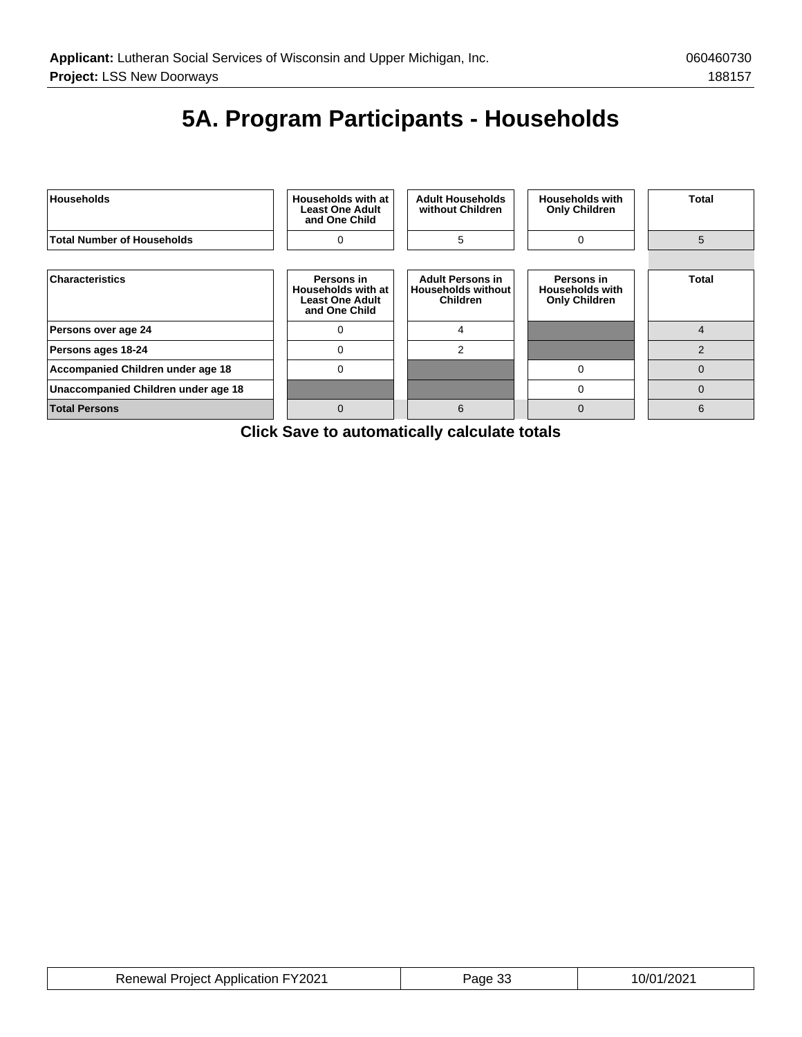# **5A. Program Participants - Households**



**Click Save to automatically calculate totals**

| <b>Renewal Project Application FY2021</b> | Page 33 | 10/01/2021 |
|-------------------------------------------|---------|------------|
|-------------------------------------------|---------|------------|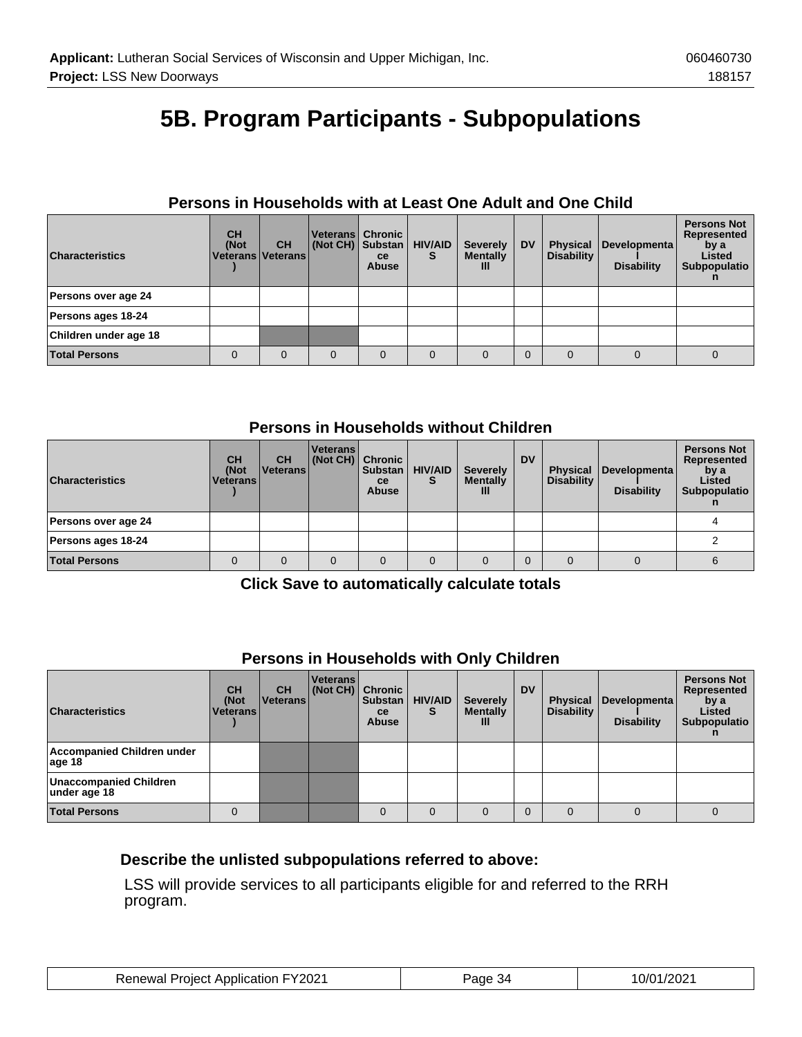# **5B. Program Participants - Subpopulations**

| <b>Characteristics</b> | <b>CH</b><br>(Not<br>∣Veterans I | <b>CH</b><br><b>Veterans</b> | <b>Veterans</b><br>(Not CH) Substan | <b>Chronic</b><br>ce<br><b>Abuse</b> | <b>HIV/AID</b><br>S | <b>Severely</b><br><b>Mentally</b><br>Ш | <b>DV</b> | Physical Developmenta<br><b>Disability</b> | <b>Persons Not</b><br>Represented<br>by a<br>Listed<br>Subpopulatio |
|------------------------|----------------------------------|------------------------------|-------------------------------------|--------------------------------------|---------------------|-----------------------------------------|-----------|--------------------------------------------|---------------------------------------------------------------------|
| Persons over age 24    |                                  |                              |                                     |                                      |                     |                                         |           |                                            |                                                                     |
| Persons ages 18-24     |                                  |                              |                                     |                                      |                     |                                         |           |                                            |                                                                     |
| Children under age 18  |                                  |                              |                                     |                                      |                     |                                         |           |                                            |                                                                     |
| <b>Total Persons</b>   | $\Omega$                         | $\Omega$                     | 0                                   |                                      | $\mathbf 0$         |                                         | $\Omega$  | $\mathbf 0$                                | 0                                                                   |

### **Persons in Households with at Least One Adult and One Child**

### **Persons in Households without Children**

| <b>Characteristics</b> | <b>CH</b><br>(Not<br><b>Veterans</b> | <b>CH</b><br><b>Veterans</b> | <b>Veterans</b><br>(Not CH) Chronic | <b>Substan</b><br>ce<br><b>Abuse</b> | <b>HIV/AID</b> | <b>Severely</b><br><b>Mentally</b><br>Ш | <b>DV</b> | <b>Physical</b><br><b>Disability</b> | Developmenta<br><b>Disability</b> | <b>Persons Not</b><br>Represented<br>by a<br>Listed<br>Subpopulatio |
|------------------------|--------------------------------------|------------------------------|-------------------------------------|--------------------------------------|----------------|-----------------------------------------|-----------|--------------------------------------|-----------------------------------|---------------------------------------------------------------------|
| Persons over age 24    |                                      |                              |                                     |                                      |                |                                         |           |                                      |                                   |                                                                     |
| Persons ages 18-24     |                                      |                              |                                     |                                      |                |                                         |           |                                      |                                   |                                                                     |
| <b>Total Persons</b>   |                                      |                              |                                     |                                      |                |                                         |           |                                      |                                   |                                                                     |

**Click Save to automatically calculate totals**

### **Persons in Households with Only Children**

| <b>Characteristics</b>                        | <b>CH</b><br>(Not<br><b>Veterans</b> | <b>CH</b><br>  Veterans | Veterans<br>(Not CH) | <b>Chronic</b><br><b>Substan</b><br>ce<br><b>Abuse</b> | <b>HIV/AID</b><br>s | <b>Severely</b><br><b>Mentally</b><br>Ш | <b>DV</b> | <b>Physical</b><br><b>Disability</b> | Developmenta<br><b>Disability</b> | <b>Persons Not</b><br>Represented<br>by a<br>Listed<br>Subpopulatio |
|-----------------------------------------------|--------------------------------------|-------------------------|----------------------|--------------------------------------------------------|---------------------|-----------------------------------------|-----------|--------------------------------------|-----------------------------------|---------------------------------------------------------------------|
| Accompanied Children under<br>age 18          |                                      |                         |                      |                                                        |                     |                                         |           |                                      |                                   |                                                                     |
| <b>Unaccompanied Children</b><br>under age 18 |                                      |                         |                      |                                                        |                     |                                         |           |                                      |                                   |                                                                     |
| <b>Total Persons</b>                          |                                      |                         |                      | $\Omega$                                               | $\Omega$            | $\Omega$                                |           | $\Omega$                             |                                   |                                                                     |

### **Describe the unlisted subpopulations referred to above:**

LSS will provide services to all participants eligible for and referred to the RRH program.

| <b>Renewal Project Application FY2021</b> | Page 34 | 10/01/2021 |
|-------------------------------------------|---------|------------|
|-------------------------------------------|---------|------------|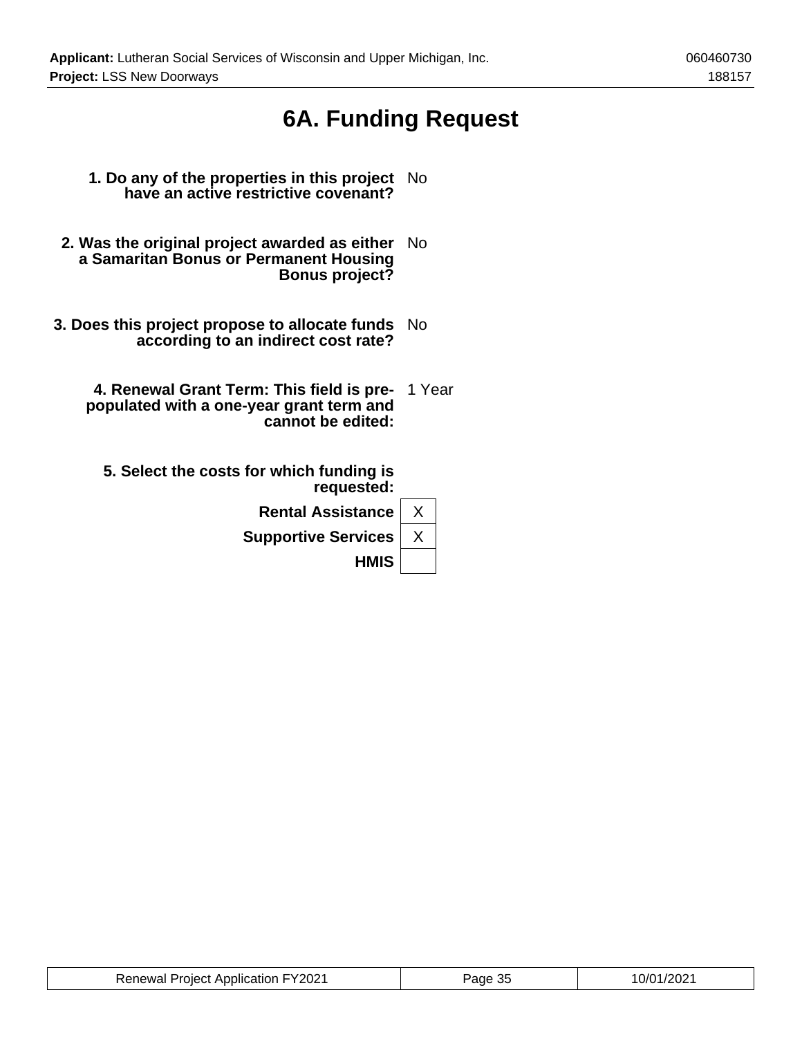# **6A. Funding Request**

- **1. Do any of the properties in this project have an active restrictive covenant?** No
- **2. Was the original project awarded as either** No **a Samaritan Bonus or Permanent Housing Bonus project?**
- **3. Does this project propose to allocate funds according to an indirect cost rate?** No
	- **4. Renewal Grant Term: This field is pre-**1 Year **populated with a one-year grant term and cannot be edited:**
		- **5. Select the costs for which funding is requested:**

| Rental Assistance   X               |  |
|-------------------------------------|--|
| Supportive Services $\mid$ $\times$ |  |
| HMIS                                |  |

| <b>Renewal Project Application FY2021</b> | 'age<br>ູບປ | 10/01/2021 |
|-------------------------------------------|-------------|------------|
|-------------------------------------------|-------------|------------|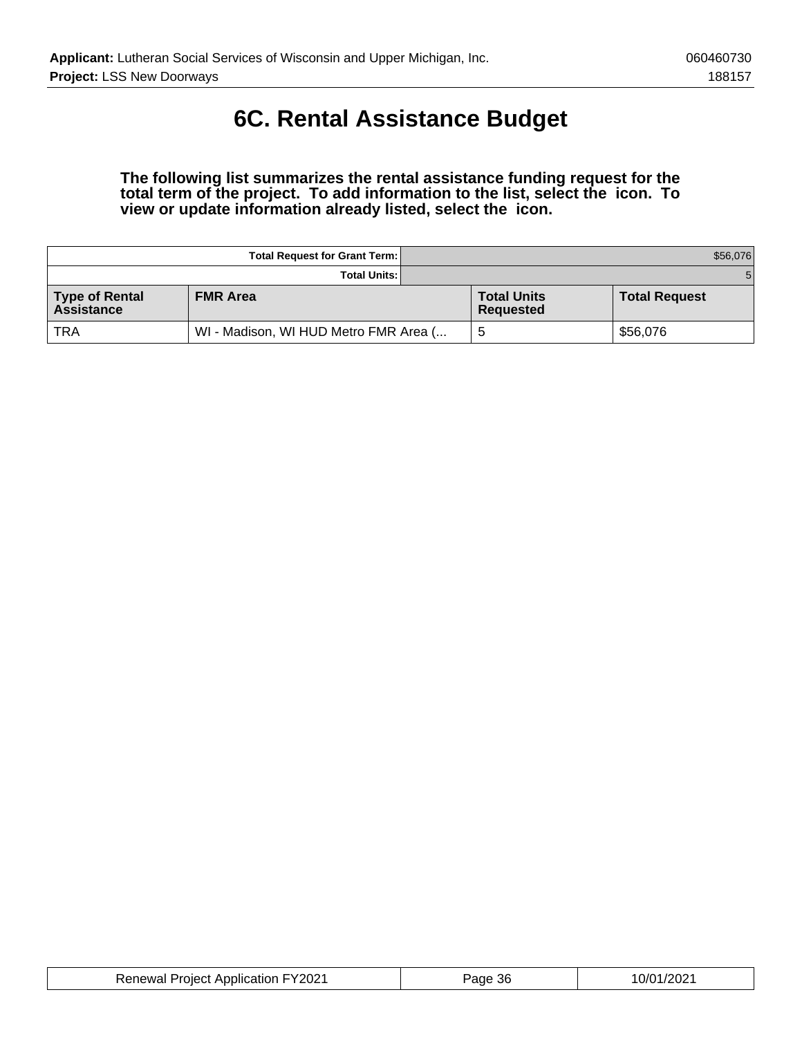# **6C. Rental Assistance Budget**

#### **The following list summarizes the rental assistance funding request for the total term of the project. To add information to the list, select the icon. To view or update information already listed, select the icon.**

|                                     | <b>Total Request for Grant Term:</b>  |                                 | \$56,076             |
|-------------------------------------|---------------------------------------|---------------------------------|----------------------|
|                                     | <b>Total Units:</b>                   |                                 | 5 <sup>1</sup>       |
| Type of Rental<br><b>Assistance</b> | <b>FMR Area</b>                       | <b>Total Units</b><br>Requested | <b>Total Request</b> |
| <b>TRA</b>                          | WI - Madison, WI HUD Metro FMR Area ( | 5                               | \$56,076             |

| <b>Renewal Project Application FY2021</b> | Page 36 | 10/01/2021 |
|-------------------------------------------|---------|------------|
|-------------------------------------------|---------|------------|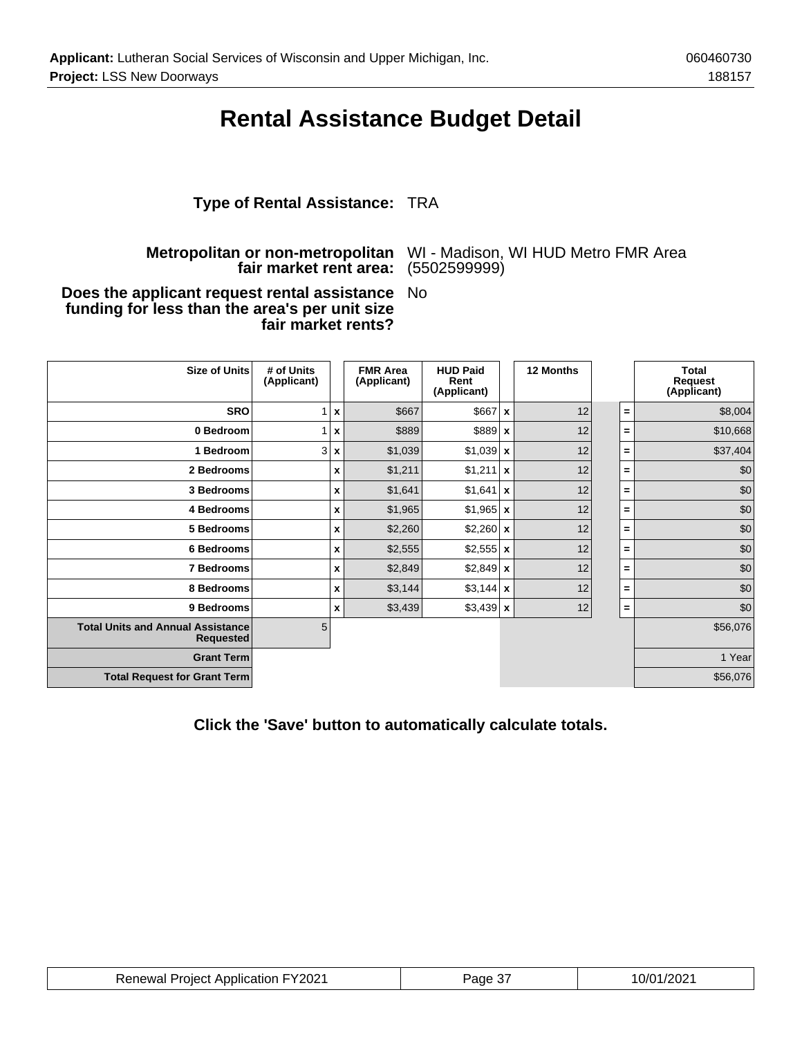### **Rental Assistance Budget Detail**

### **Type of Rental Assistance:** TRA

#### **Metropolitan or non-metropolitan fair market rent area:**

WI - Madison, WI HUD Metro FMR Area (5502599999)

#### **Does the applicant request rental assistance funding for less than the area's per unit size fair market rents?** No

| <b>Size of Units</b>                                         | # of Units<br>(Applicant) |                           | <b>FMR Area</b><br>(Applicant) | <b>HUD Paid</b><br>Rent<br>(Applicant) | 12 Months |          | <b>Total</b><br><b>Request</b><br>(Applicant) |
|--------------------------------------------------------------|---------------------------|---------------------------|--------------------------------|----------------------------------------|-----------|----------|-----------------------------------------------|
| <b>SRO</b>                                                   |                           | $\boldsymbol{\mathsf{x}}$ | \$667                          | $$667$ $\times$                        | 12        | $=$      | \$8,004                                       |
| 0 Bedroom                                                    |                           | X                         | \$889                          | $$889$ $x$                             | 12        | =        | \$10,668                                      |
| 1 Bedroom                                                    | 3                         | $\mathbf{x}$              | \$1,039                        | $$1,039$ x                             | 12        | $=$      | \$37,404                                      |
| 2 Bedrooms                                                   |                           | X                         | \$1,211                        | $$1,211$ x                             | 12        | =        | \$0                                           |
| 3 Bedrooms                                                   |                           | $\mathbf x$               | \$1,641                        | $$1,641$ x                             | 12        | =        | \$0                                           |
| 4 Bedrooms                                                   |                           | X                         | \$1,965                        | $$1,965$ $x$                           | 12        | =        | \$0                                           |
| 5 Bedrooms                                                   |                           | X                         | \$2,260                        | $$2,260$ x                             | 12        | $=$      | \$0                                           |
| <b>6 Bedrooms</b>                                            |                           | $\boldsymbol{x}$          | \$2,555                        | $$2,555$ x                             | 12        | Ξ        | \$0                                           |
| 7 Bedrooms                                                   |                           | $\mathbf x$               | \$2,849                        | $$2,849$ x                             | 12        | $=$      | \$0                                           |
| 8 Bedrooms                                                   |                           | $\boldsymbol{x}$          | \$3,144                        | $$3,144$ x                             | 12        | $=$      | \$0                                           |
| 9 Bedrooms                                                   |                           | X                         | \$3,439                        | $$3,439$ x                             | 12        | $\equiv$ | \$0                                           |
| <b>Total Units and Annual Assistance</b><br><b>Requested</b> | 5                         |                           |                                |                                        |           |          | \$56,076                                      |
| <b>Grant Term</b>                                            |                           |                           |                                |                                        |           |          | 1 Year                                        |
| <b>Total Request for Grant Term</b>                          |                           |                           |                                |                                        |           |          | \$56,076                                      |

**Click the 'Save' button to automatically calculate totals.**

| <b>Renewal Project Application FY2021</b> | Page 37 | 10/01/2021 |
|-------------------------------------------|---------|------------|
|-------------------------------------------|---------|------------|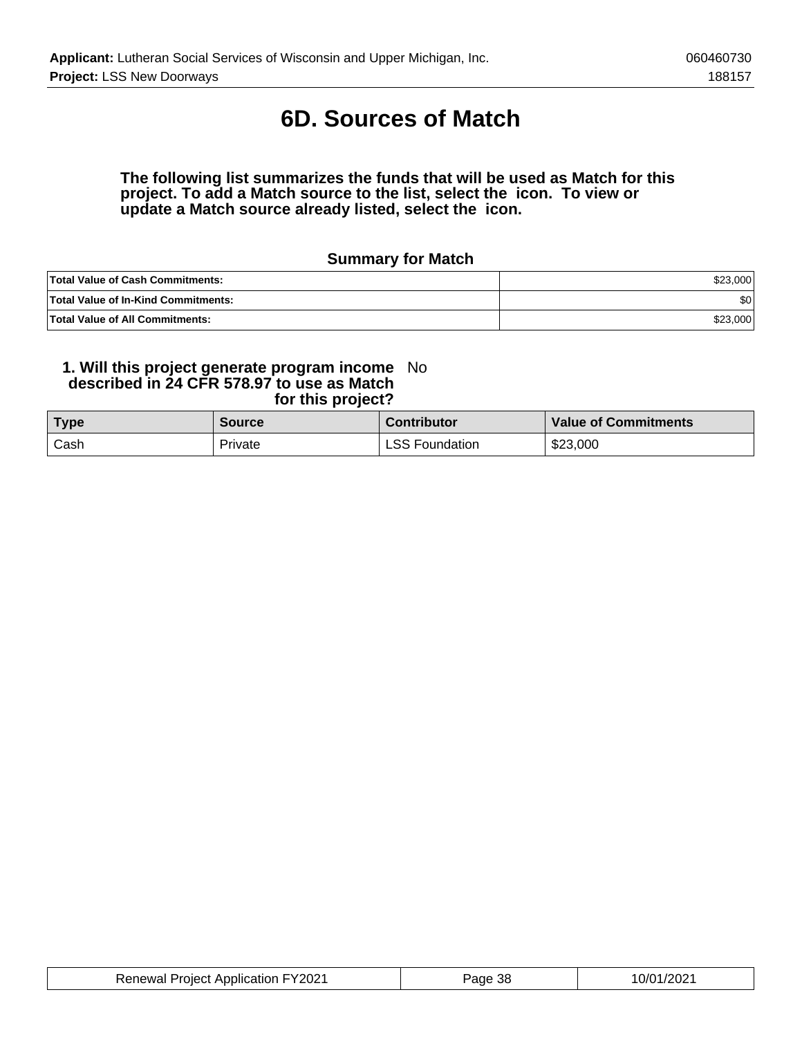## **6D. Sources of Match**

#### **The following list summarizes the funds that will be used as Match for this project. To add a Match source to the list, select the icon. To view or update a Match source already listed, select the icon.**

### **Summary for Match**

| <b>Total Value of Cash Commitments:</b>    | \$23,000 |
|--------------------------------------------|----------|
| <b>Total Value of In-Kind Commitments:</b> | \$0      |
| <b>Total Value of All Commitments:</b>     | \$23,000 |

#### **1. Will this project generate program income described in 24 CFR 578.97 to use as Match for this project?** No

| <b>Type</b> | <b>Source</b> | <b>Contributor</b>    | <b>Value of Commitments</b> |  |  |
|-------------|---------------|-----------------------|-----------------------------|--|--|
| Cash        | Private       | <b>LSS Foundation</b> | \$23,000                    |  |  |

| <b>Renewal Project Application FY2021</b> | Page 38 | 10/01/2021 |
|-------------------------------------------|---------|------------|
|-------------------------------------------|---------|------------|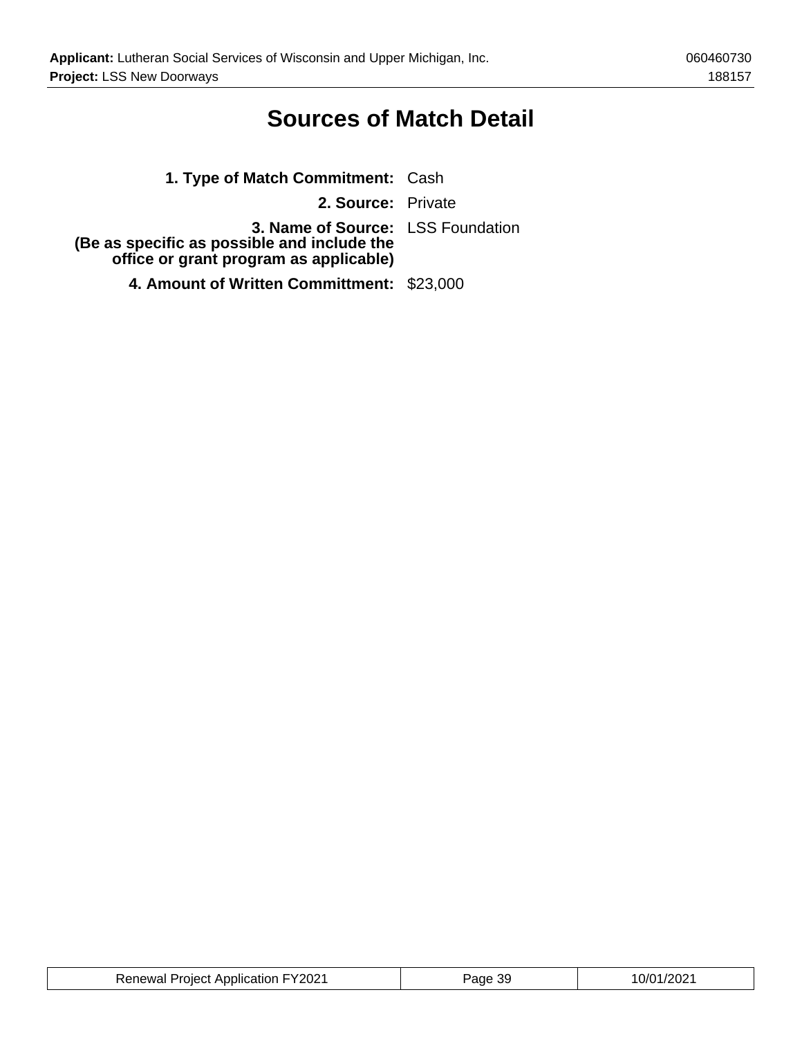# **Sources of Match Detail**

| 1. Type of Match Commitment: Cash                                                                                          |  |
|----------------------------------------------------------------------------------------------------------------------------|--|
| 2. Source: Private                                                                                                         |  |
| 3. Name of Source: LSS Foundation<br>(Be as specific as possible and include the<br>office or grant program as applicable) |  |
| 4. Amount of Written Committment: \$23,000                                                                                 |  |

| <b>Renewal Project Application FY2021</b> | Page 39 | 10/01/2021 |
|-------------------------------------------|---------|------------|
|-------------------------------------------|---------|------------|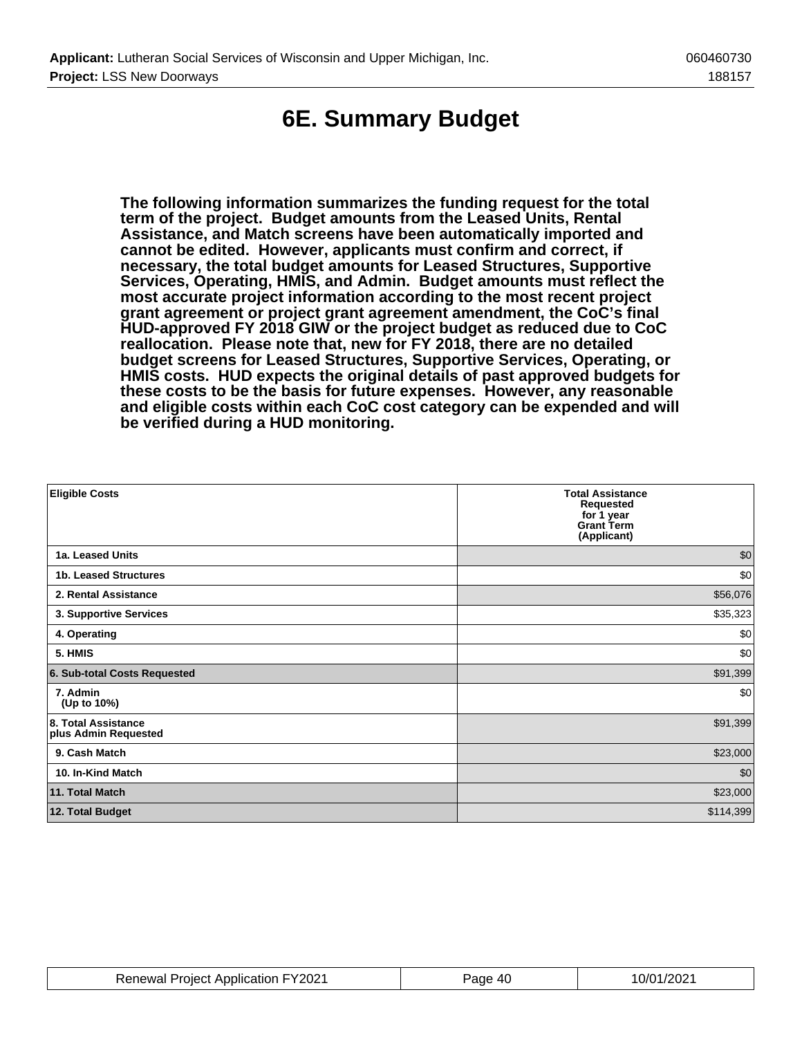# **6E. Summary Budget**

**The following information summarizes the funding request for the total term of the project. Budget amounts from the Leased Units, Rental Assistance, and Match screens have been automatically imported and cannot be edited. However, applicants must confirm and correct, if necessary, the total budget amounts for Leased Structures, Supportive Services, Operating, HMIS, and Admin. Budget amounts must reflect the most accurate project information according to the most recent project grant agreement or project grant agreement amendment, the CoC's final HUD-approved FY 2018 GIW or the project budget as reduced due to CoC reallocation. Please note that, new for FY 2018, there are no detailed budget screens for Leased Structures, Supportive Services, Operating, or HMIS costs. HUD expects the original details of past approved budgets for these costs to be the basis for future expenses. However, any reasonable and eligible costs within each CoC cost category can be expended and will be verified during a HUD monitoring.**

| <b>Eligible Costs</b>                       | <b>Total Assistance</b><br><b>Requested</b><br>for 1 year<br><b>Grant Term</b><br>(Applicant) |
|---------------------------------------------|-----------------------------------------------------------------------------------------------|
| 1a. Leased Units                            | \$0                                                                                           |
| 1b. Leased Structures                       | \$0                                                                                           |
| 2. Rental Assistance                        | \$56,076                                                                                      |
| 3. Supportive Services                      | \$35,323                                                                                      |
| 4. Operating                                | \$0                                                                                           |
| 5. HMIS                                     | \$0                                                                                           |
| 6. Sub-total Costs Requested                | \$91,399                                                                                      |
| 7. Admin<br>(Up to 10%)                     | \$0                                                                                           |
| 8. Total Assistance<br>plus Admin Requested | \$91,399                                                                                      |
| 9. Cash Match                               | \$23,000                                                                                      |
| 10. In-Kind Match                           | \$0                                                                                           |
| 11. Total Match                             | \$23,000                                                                                      |
| 12. Total Budget                            | \$114,399                                                                                     |

| <b>Renewal Project Application FY2021</b> | Page 40 | 10/01/2021 |
|-------------------------------------------|---------|------------|
|-------------------------------------------|---------|------------|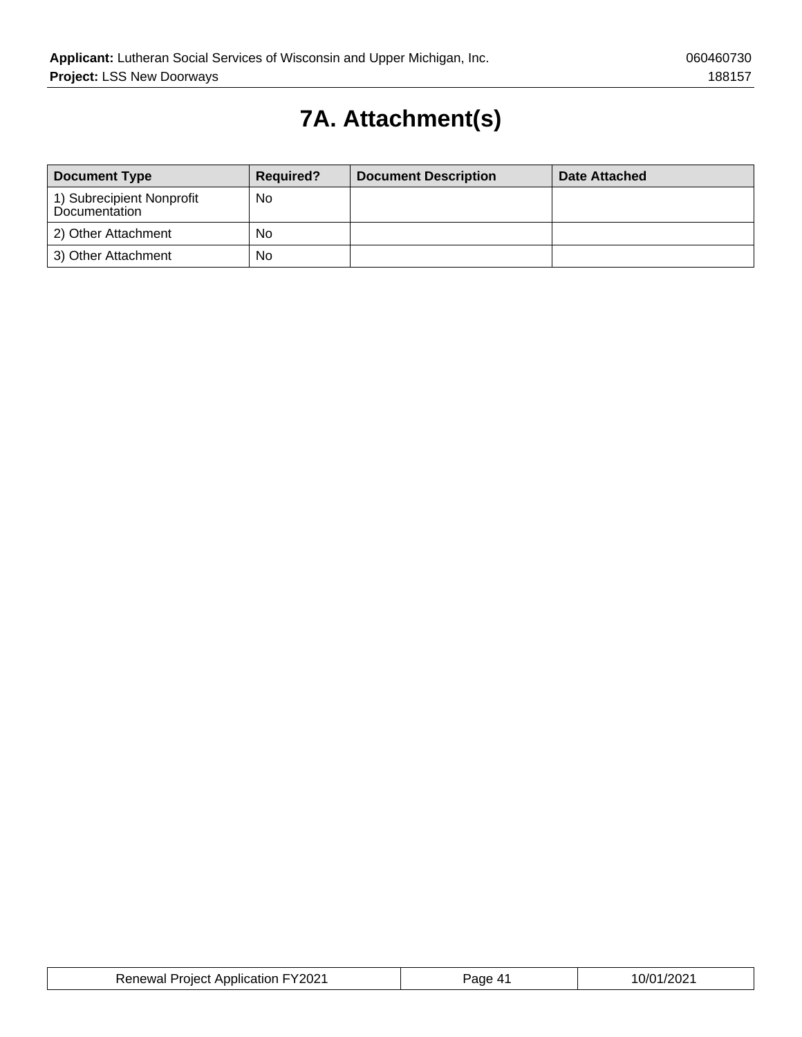# **7A. Attachment(s)**

| <b>Document Type</b>                       | <b>Required?</b> | <b>Document Description</b> | <b>Date Attached</b> |
|--------------------------------------------|------------------|-----------------------------|----------------------|
| 1) Subrecipient Nonprofit<br>Documentation | No               |                             |                      |
| 2) Other Attachment                        | No               |                             |                      |
| 3) Other Attachment                        | No               |                             |                      |

| <b>Renewal Project Application FY2021</b> | Page 41 | 10/01/2021 |
|-------------------------------------------|---------|------------|
|-------------------------------------------|---------|------------|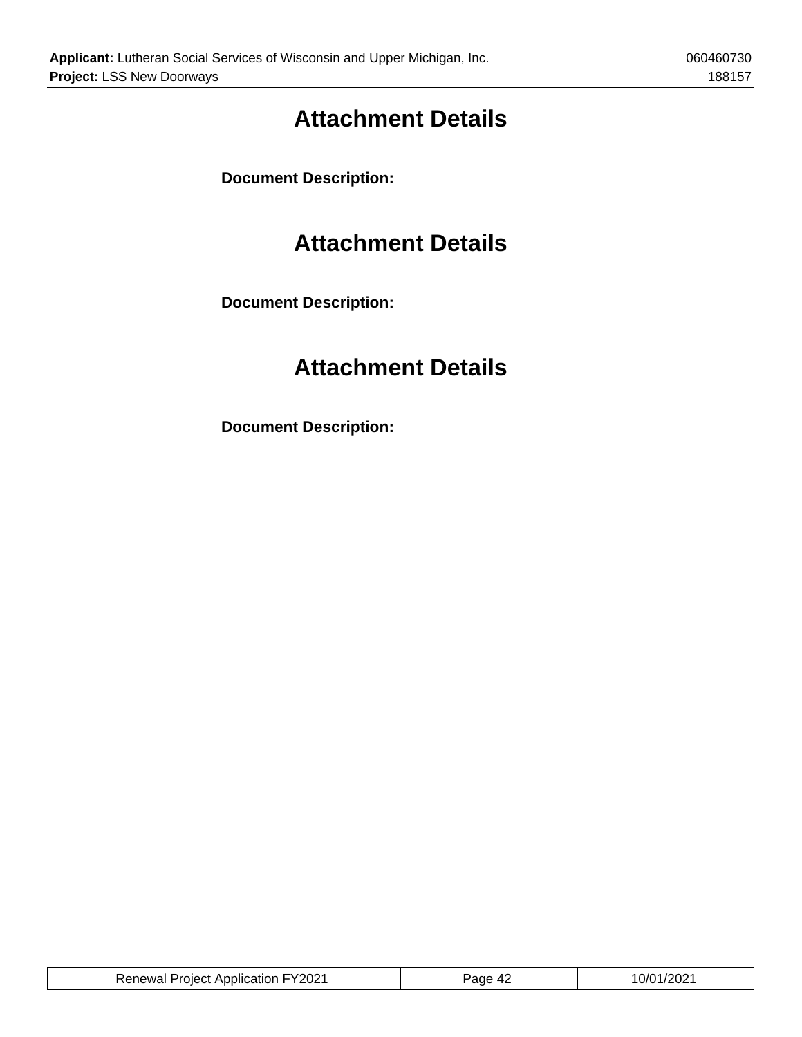## **Attachment Details**

**Document Description:**

## **Attachment Details**

**Document Description:**

## **Attachment Details**

**Document Description:**

| <b>Renewal Project Application FY2021</b> | Page 42 | 10/01/2021 |
|-------------------------------------------|---------|------------|
|                                           |         |            |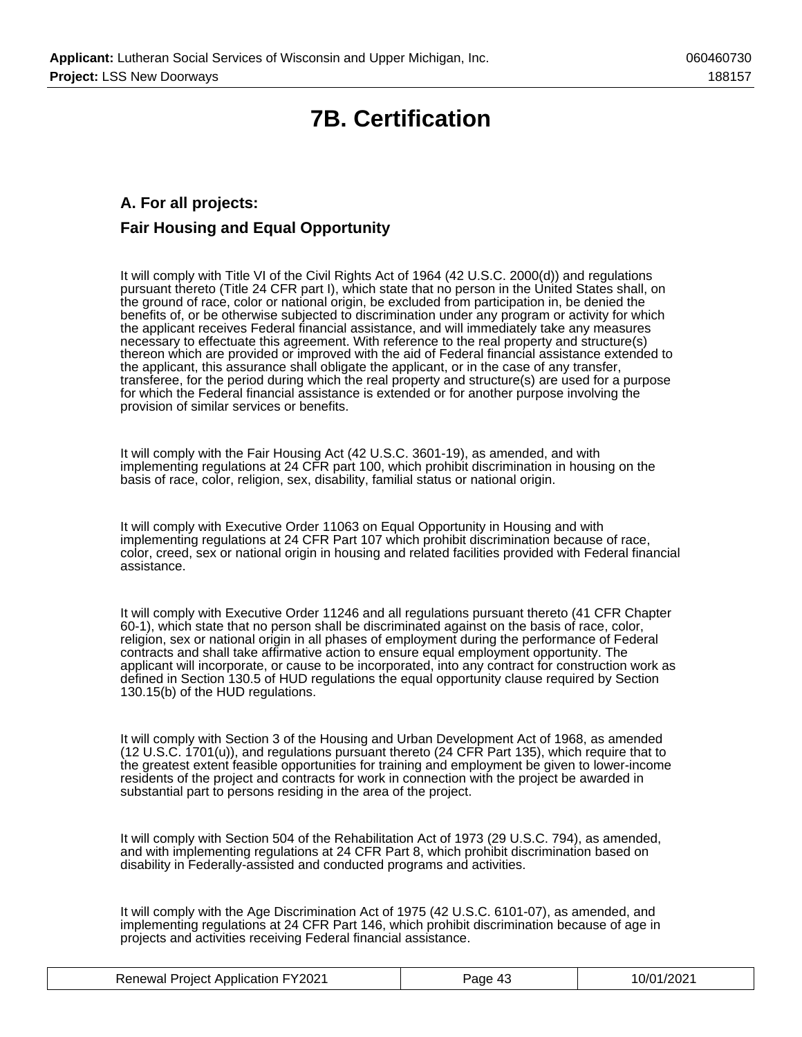# **7B. Certification**

### **A. For all projects: Fair Housing and Equal Opportunity**

It will comply with Title VI of the Civil Rights Act of 1964 (42 U.S.C. 2000(d)) and regulations pursuant thereto (Title 24 CFR part I), which state that no person in the United States shall, on the ground of race, color or national origin, be excluded from participation in, be denied the benefits of, or be otherwise subjected to discrimination under any program or activity for which the applicant receives Federal financial assistance, and will immediately take any measures necessary to effectuate this agreement. With reference to the real property and structure(s) thereon which are provided or improved with the aid of Federal financial assistance extended to the applicant, this assurance shall obligate the applicant, or in the case of any transfer, transferee, for the period during which the real property and structure(s) are used for a purpose for which the Federal financial assistance is extended or for another purpose involving the provision of similar services or benefits.

It will comply with the Fair Housing Act (42 U.S.C. 3601-19), as amended, and with implementing regulations at 24 CFR part 100, which prohibit discrimination in housing on the basis of race, color, religion, sex, disability, familial status or national origin.

It will comply with Executive Order 11063 on Equal Opportunity in Housing and with implementing regulations at 24 CFR Part 107 which prohibit discrimination because of race, color, creed, sex or national origin in housing and related facilities provided with Federal financial assistance.

It will comply with Executive Order 11246 and all regulations pursuant thereto (41 CFR Chapter 60-1), which state that no person shall be discriminated against on the basis of race, color, religion, sex or national origin in all phases of employment during the performance of Federal contracts and shall take affirmative action to ensure equal employment opportunity. The applicant will incorporate, or cause to be incorporated, into any contract for construction work as defined in Section 130.5 of HUD regulations the equal opportunity clause required by Section 130.15(b) of the HUD regulations.

It will comply with Section 3 of the Housing and Urban Development Act of 1968, as amended (12 U.S.C. 1701(u)), and regulations pursuant thereto (24 CFR Part 135), which require that to the greatest extent feasible opportunities for training and employment be given to lower-income residents of the project and contracts for work in connection with the project be awarded in substantial part to persons residing in the area of the project.

It will comply with Section 504 of the Rehabilitation Act of 1973 (29 U.S.C. 794), as amended, and with implementing regulations at 24 CFR Part 8, which prohibit discrimination based on disability in Federally-assisted and conducted programs and activities.

It will comply with the Age Discrimination Act of 1975 (42 U.S.C. 6101-07), as amended, and implementing regulations at 24 CFR Part 146, which prohibit discrimination because of age in projects and activities receiving Federal financial assistance.

| <b>Renewal Project Application FY2021</b> | Page 43 | 10/01/2021 |
|-------------------------------------------|---------|------------|
|-------------------------------------------|---------|------------|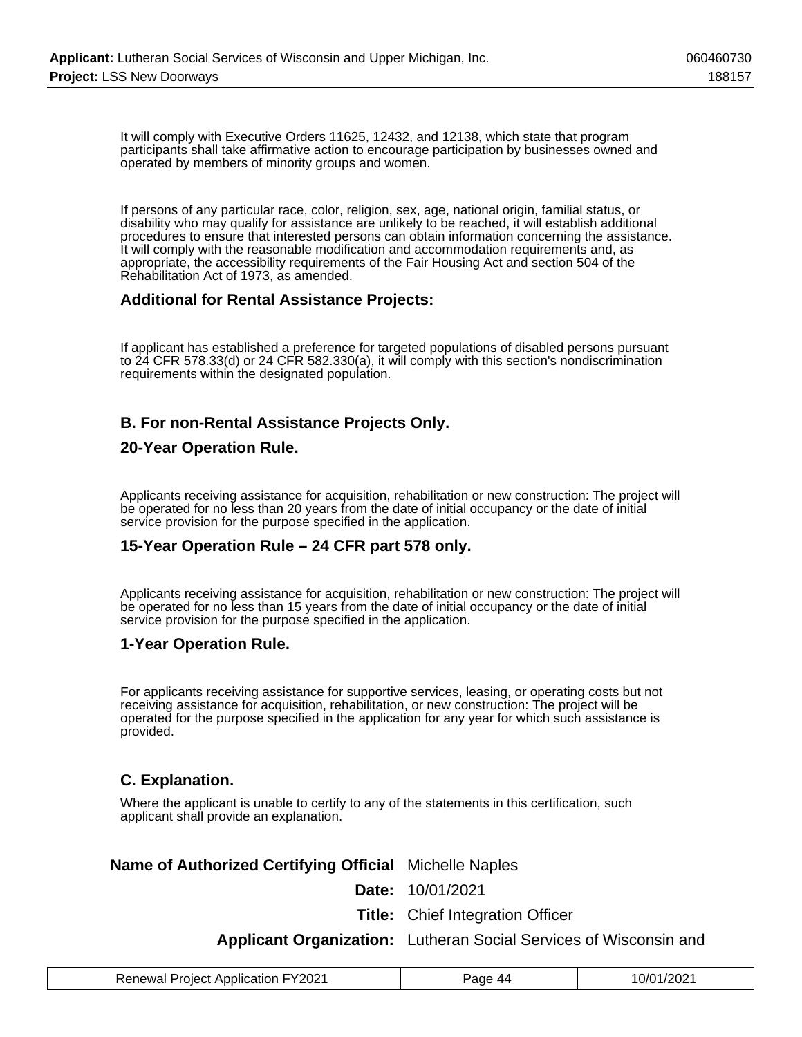It will comply with Executive Orders 11625, 12432, and 12138, which state that program participants shall take affirmative action to encourage participation by businesses owned and operated by members of minority groups and women.

If persons of any particular race, color, religion, sex, age, national origin, familial status, or disability who may qualify for assistance are unlikely to be reached, it will establish additional procedures to ensure that interested persons can obtain information concerning the assistance. It will comply with the reasonable modification and accommodation requirements and, as appropriate, the accessibility requirements of the Fair Housing Act and section 504 of the Rehabilitation Act of 1973, as amended.

#### **Additional for Rental Assistance Projects:**

If applicant has established a preference for targeted populations of disabled persons pursuant to 24 CFR 578.33(d) or 24 CFR 582.330(a), it will comply with this section's nondiscrimination requirements within the designated population.

### **B. For non-Rental Assistance Projects Only.**

#### **20-Year Operation Rule.**

Applicants receiving assistance for acquisition, rehabilitation or new construction: The project will be operated for no less than 20 years from the date of initial occupancy or the date of initial service provision for the purpose specified in the application.

#### **15-Year Operation Rule – 24 CFR part 578 only.**

Applicants receiving assistance for acquisition, rehabilitation or new construction: The project will be operated for no less than 15 years from the date of initial occupancy or the date of initial service provision for the purpose specified in the application.

#### **1-Year Operation Rule.**

For applicants receiving assistance for supportive services, leasing, or operating costs but not receiving assistance for acquisition, rehabilitation, or new construction: The project will be operated for the purpose specified in the application for any year for which such assistance is provided.

#### **C. Explanation.**

Where the applicant is unable to certify to any of the statements in this certification, such applicant shall provide an explanation.

#### **Name of Authorized Certifying Official** Michelle Naples

**Date:** 10/01/2021

**Title:** Chief Integration Officer

#### **Applicant Organization:** Lutheran Social Services of Wisconsin and

| <b>Renewal Project Application FY2021</b> | Page 44 | 10/01/2021 |
|-------------------------------------------|---------|------------|
|-------------------------------------------|---------|------------|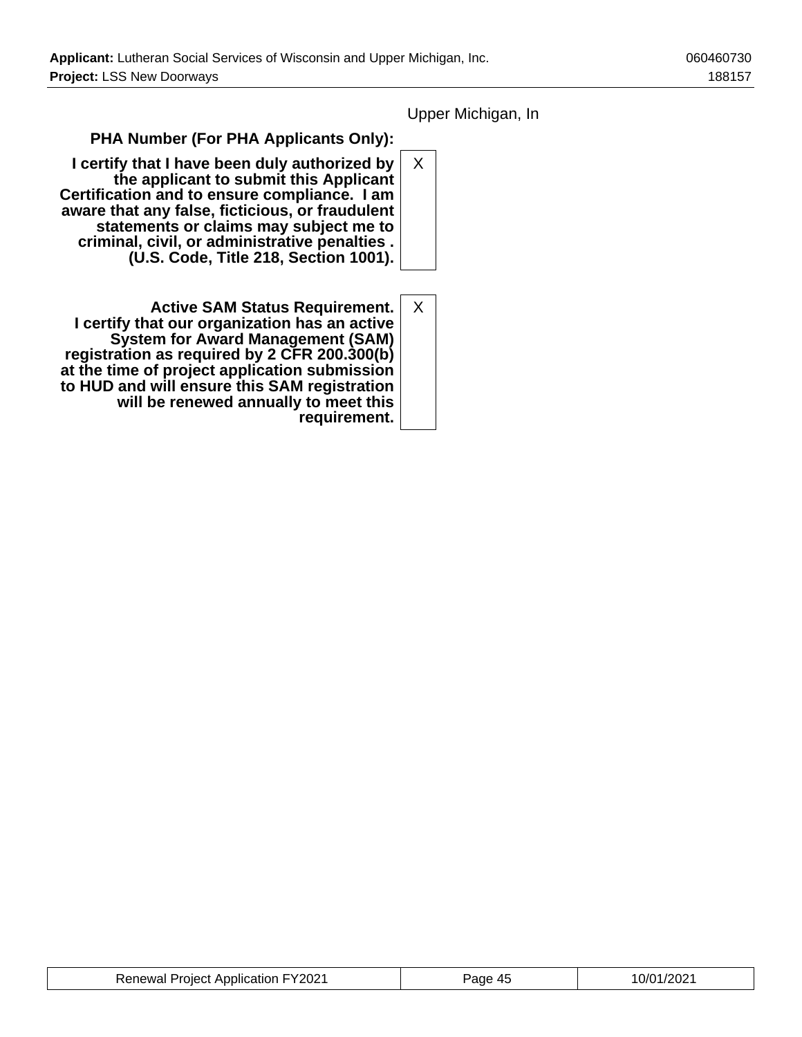Upper Michigan, In

### **PHA Number (For PHA Applicants Only):**

**I certify that I have been duly authorized by the applicant to submit this Applicant Certification and to ensure compliance. I am aware that any false, ficticious, or fraudulent statements or claims may subject me to criminal, civil, or administrative penalties . (U.S. Code, Title 218, Section 1001).** X

**Active SAM Status Requirement. I certify that our organization has an active System for Award Management (SAM) registration as required by 2 CFR 200.300(b) at the time of project application submission to HUD and will ensure this SAM registration will be renewed annually to meet this requirement.** X

| <b>Renewal Project Application FY2021</b> | Page 45 | 10/01/2021 |
|-------------------------------------------|---------|------------|
|-------------------------------------------|---------|------------|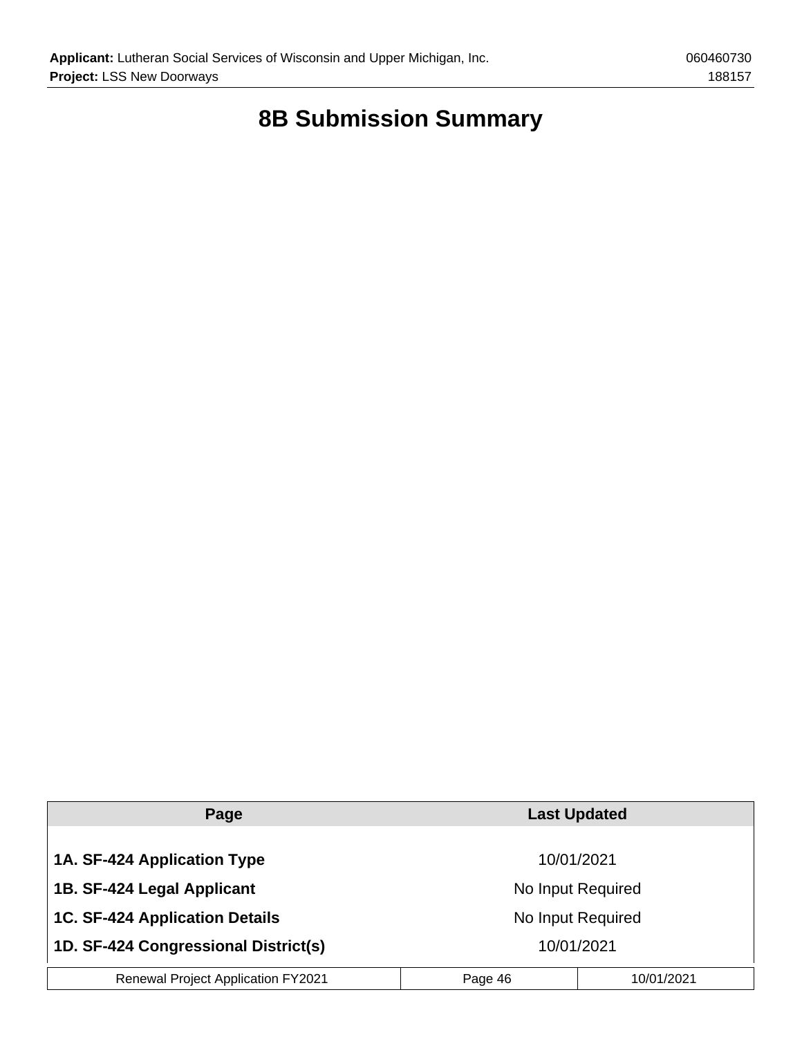# **8B Submission Summary**

| Page                                      |                   | <b>Last Updated</b> |
|-------------------------------------------|-------------------|---------------------|
| 1A. SF-424 Application Type               |                   | 10/01/2021          |
| 1B. SF-424 Legal Applicant                | No Input Required |                     |
| <b>1C. SF-424 Application Details</b>     | No Input Required |                     |
| 1D. SF-424 Congressional District(s)      | 10/01/2021        |                     |
| <b>Renewal Project Application FY2021</b> | Page 46           | 10/01/2021          |